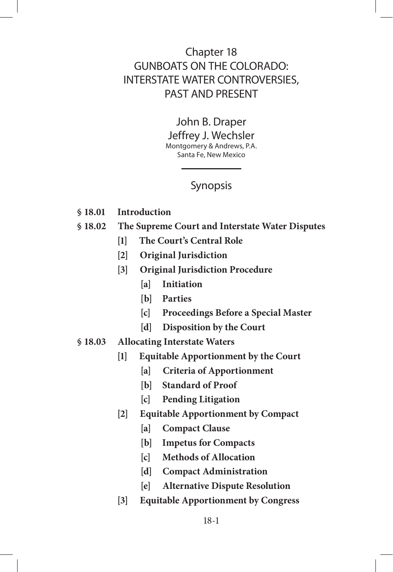# Chapter 18 GUNBOATS ON THE COLORADO: INTERSTATE WATER CONTROVERSIES, PAST AND PRESENT

John B. Draper Jeffrey J. Wechsler Montgomery & Andrews, P.A. Santa Fe, New Mexico

# Synopsis

- **§ 18.01 Introduction**
- **§ 18.02 The Supreme Court and Interstate Water Disputes**
	- **[1] The Court's Central Role**
	- **[2] Original Jurisdiction**
	- **[3] Original Jurisdiction Procedure**
		- **[a] Initiation**
		- **[b] Parties**
		- **[c] Proceedings Before a Special Master**
		- **[d] Disposition by the Court**
- **§ 18.03 Allocating Interstate Waters**
	- **[1] Equitable Apportionment by the Court**
		- **[a] Criteria of Apportionment**
		- **[b] Standard of Proof**
		- **[c] Pending Litigation**
	- **[2] Equitable Apportionment by Compact**
		- **[a] Compact Clause**
		- **[b] Impetus for Compacts**
		- **[c] Methods of Allocation**
		- **[d] Compact Administration**
		- **[e] Alternative Dispute Resolution**
	- **[3] Equitable Apportionment by Congress**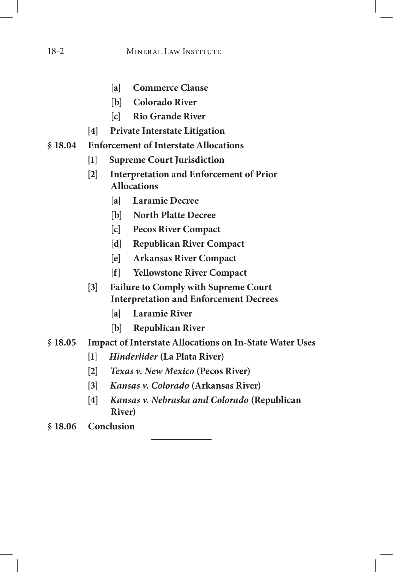## 18-2 MINERAL LAW INSTITUTE

- **[a] Commerce Clause**
- **[b] Colorado River**
- **[c] Rio Grande River**
- **[4] Private Interstate Litigation**
- **§ 18.04 Enforcement of Interstate Allocations**
	- **[1] Supreme Court Jurisdiction**
	- **[2] Interpretation and Enforcement of Prior Allocations**
		- **[a] Laramie Decree**
		- **[b] North Platte Decree**
		- **[c] Pecos River Compact**
		- **[d] Republican River Compact**
		- **[e] Arkansas River Compact**
		- **[f] Yellowstone River Compact**
	- **[3] Failure to Comply with Supreme Court Interpretation and Enforcement Decrees**
		- **[a] Laramie River**
		- **[b] Republican River**
- **§ 18.05 Impact of Interstate Allocations on In-State Water Uses**
	- **[1]** *Hinderlider* **(La Plata River)**
	- **[2]** *Texas v. New Mexico* **(Pecos River)**
	- **[3]** *Kansas v. Colorado* **(Arkansas River)**
	- **[4]** *Kansas v. Nebraska and Colorado* **(Republican River)**
- **§ 18.06 Conclusion**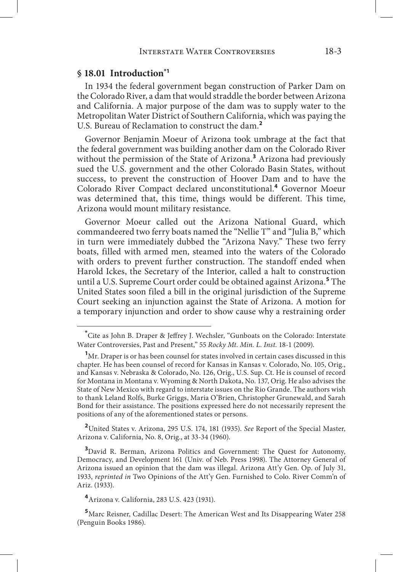## **§ 18.01 Introduction\*1**

In 1934 the federal government began construction of Parker Dam on the Colorado River, a dam that would straddle the border between Arizona and California. A major purpose of the dam was to supply water to the Metropolitan Water District of Southern California, which was paying the U.S. Bureau of Reclamation to construct the dam.**<sup>2</sup>**

Governor Benjamin Moeur of Arizona took umbrage at the fact that the federal government was building another dam on the Colorado River without the permission of the State of Arizona.**<sup>3</sup>** Arizona had previously sued the U.S. government and the other Colorado Basin States, without success, to prevent the construction of Hoover Dam and to have the Colorado River Compact declared unconstitutional.**<sup>4</sup>** Governor Moeur was determined that, this time, things would be different. This time, Arizona would mount military resistance.

Governor Moeur called out the Arizona National Guard, which commandeered two ferry boats named the "Nellie T" and "Julia B," which in turn were immediately dubbed the "Arizona Navy." These two ferry boats, filled with armed men, steamed into the waters of the Colorado with orders to prevent further construction. The standoff ended when Harold Ickes, the Secretary of the Interior, called a halt to construction until a U.S. Supreme Court order could be obtained against Arizona.**<sup>5</sup>** The United States soon filed a bill in the original jurisdiction of the Supreme Court seeking an injunction against the State of Arizona. A motion for a temporary injunction and order to show cause why a restraining order

**<sup>2</sup>**United States v. Arizona, 295 U.S. 174, 181 (1935). *See* Report of the Special Master, Arizona v. California, No. 8, Orig., at 33-34 (1960).

<sup>3</sup>David R. Berman, Arizona Politics and Government: The Quest for Autonomy, Democracy, and Development 161 (Univ. of Neb. Press 1998). The Attorney General of Arizona issued an opinion that the dam was illegal. Arizona Att'y Gen. Op. of July 31, 1933, *reprinted in* Two Opinions of the Att'y Gen. Furnished to Colo. River Comm'n of Ariz. (1933).

**<sup>4</sup>**Arizona v. California, 283 U.S. 423 (1931).

**<sup>5</sup>**Marc Reisner, Cadillac Desert: The American West and Its Disappearing Water 258 (Penguin Books 1986).

**<sup>\*</sup>** Cite as John B. Draper & Jeffrey J. Wechsler, "Gunboats on the Colorado: Interstate Water Controversies, Past and Present," 55 *Rocky Mt. Min. L. Inst.* 18-1 (2009).

**<sup>1</sup>** Mr. Draper is or has been counsel for states involved in certain cases discussed in this chapter. He has been counsel of record for Kansas in Kansas v. Colorado, No. 105, Orig., and Kansas v. Nebraska & Colorado, No. 126, Orig., U.S. Sup. Ct. He is counsel of record for Montana in Montana v. Wyoming & North Dakota, No. 137, Orig. He also advises the State of New Mexico with regard to interstate issues on the Rio Grande. The authors wish to thank Leland Rolfs, Burke Griggs, Maria O'Brien, Christopher Grunewald, and Sarah Bond for their assistance. The positions expressed here do not necessarily represent the positions of any of the aforementioned states or persons.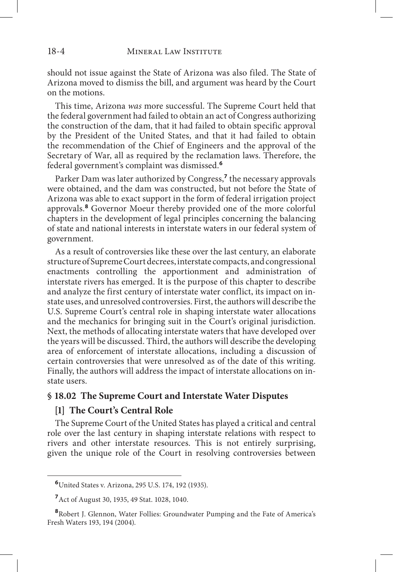should not issue against the State of Arizona was also filed. The State of Arizona moved to dismiss the bill, and argument was heard by the Court on the motions.

This time, Arizona *was* more successful. The Supreme Court held that the federal government had failed to obtain an act of Congress authorizing the construction of the dam, that it had failed to obtain specific approval by the President of the United States, and that it had failed to obtain the recommendation of the Chief of Engineers and the approval of the Secretary of War, all as required by the reclamation laws. Therefore, the federal government's complaint was dismissed.**<sup>6</sup>**

Parker Dam was later authorized by Congress,**<sup>7</sup>** the necessary approvals were obtained, and the dam was constructed, but not before the State of Arizona was able to exact support in the form of federal irrigation project approvals.**<sup>8</sup>** Governor Moeur thereby provided one of the more colorful chapters in the development of legal principles concerning the balancing of state and national interests in interstate waters in our federal system of government.

As a result of controversies like these over the last century, an elaborate structure of Supreme Court decrees, interstate compacts, and congressional enactments controlling the apportionment and administration of interstate rivers has emerged. It is the purpose of this chapter to describe and analyze the first century of interstate water conflict, its impact on instate uses, and unresolved controversies. First, the authors will describe the U.S. Supreme Court's central role in shaping interstate water allocations and the mechanics for bringing suit in the Court's original jurisdiction. Next, the methods of allocating interstate waters that have developed over the years will be discussed. Third, the authors will describe the developing area of enforcement of interstate allocations, including a discussion of certain controversies that were unresolved as of the date of this writing. Finally, the authors will address the impact of interstate allocations on instate users.

#### **§ 18.02 The Supreme Court and Interstate Water Disputes**

#### **[1] The Court's Central Role**

The Supreme Court of the United States has played a critical and central role over the last century in shaping interstate relations with respect to rivers and other interstate resources. This is not entirely surprising, given the unique role of the Court in resolving controversies between

**<sup>6</sup>**United States v. Arizona, 295 U.S. 174, 192 (1935).

**<sup>7</sup>**Act of August 30, 1935, 49 Stat. 1028, 1040.

**<sup>8</sup>**Robert J. Glennon, Water Follies: Groundwater Pumping and the Fate of America's Fresh Waters 193, 194 (2004).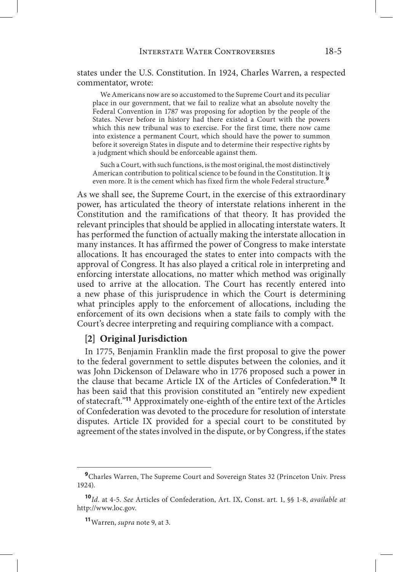states under the U.S. Constitution. In 1924, Charles Warren, a respected commentator, wrote:

We Americans now are so accustomed to the Supreme Court and its peculiar place in our government, that we fail to realize what an absolute novelty the Federal Convention in 1787 was proposing for adoption by the people of the States. Never before in history had there existed a Court with the powers which this new tribunal was to exercise. For the first time, there now came into existence a permanent Court, which should have the power to summon before it sovereign States in dispute and to determine their respective rights by a judgment which should be enforceable against them.

Such a Court, with such functions, is the most original, the most distinctively American contribution to political science to be found in the Constitution. It is even more. It is the cement which has fixed firm the whole Federal structure.**<sup>9</sup>**

As we shall see, the Supreme Court, in the exercise of this extraordinary power, has articulated the theory of interstate relations inherent in the Constitution and the ramifications of that theory. It has provided the relevant principles that should be applied in allocating interstate waters. It has performed the function of actually making the interstate allocation in many instances. It has affirmed the power of Congress to make interstate allocations. It has encouraged the states to enter into compacts with the approval of Congress. It has also played a critical role in interpreting and enforcing interstate allocations, no matter which method was originally used to arrive at the allocation. The Court has recently entered into a new phase of this jurisprudence in which the Court is determining what principles apply to the enforcement of allocations, including the enforcement of its own decisions when a state fails to comply with the Court's decree interpreting and requiring compliance with a compact.

#### **[2] Original Jurisdiction**

In 1775, Benjamin Franklin made the first proposal to give the power to the federal government to settle disputes between the colonies, and it was John Dickenson of Delaware who in 1776 proposed such a power in the clause that became Article IX of the Articles of Confederation.**<sup>10</sup>** It has been said that this provision constituted an "entirely new expedient of statecraft."**<sup>11</sup>** Approximately one-eighth of the entire text of the Articles of Confederation was devoted to the procedure for resolution of interstate disputes. Article IX provided for a special court to be constituted by agreement of the states involved in the dispute, or by Congress, if the states

<sup>&</sup>lt;sup>9</sup>Charles Warren, The Supreme Court and Sovereign States 32 (Princeton Univ. Press 1924).

**<sup>10</sup>***Id.* at 4-5. *See* Articles of Confederation, Art. IX, Const. art. 1, §§ 1-8, *available at*  http://www.loc.gov.

**<sup>11</sup>**Warren, *supra* note 9, at 3.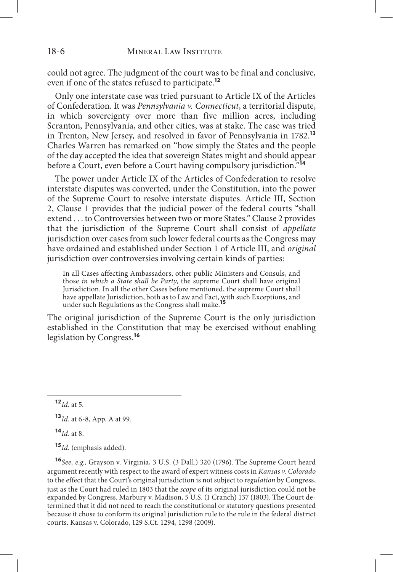could not agree. The judgment of the court was to be final and conclusive, even if one of the states refused to participate.**<sup>12</sup>**

Only one interstate case was tried pursuant to Article IX of the Articles of Confederation. It was *Pennsylvania v. Connecticut*, a territorial dispute, in which sovereignty over more than five million acres, including Scranton, Pennsylvania, and other cities, was at stake. The case was tried in Trenton, New Jersey, and resolved in favor of Pennsylvania in 1782.**<sup>13</sup>** Charles Warren has remarked on "how simply the States and the people of the day accepted the idea that sovereign States might and should appear before a Court, even before a Court having compulsory jurisdiction."**<sup>14</sup>**

The power under Article IX of the Articles of Confederation to resolve interstate disputes was converted, under the Constitution, into the power of the Supreme Court to resolve interstate disputes. Article III, Section 2, Clause 1 provides that the judicial power of the federal courts "shall extend . . . to Controversies between two or more States." Clause 2 provides that the jurisdiction of the Supreme Court shall consist of *appellate* jurisdiction over cases from such lower federal courts as the Congress may have ordained and established under Section 1 of Article III, and *original* jurisdiction over controversies involving certain kinds of parties:

In all Cases affecting Ambassadors, other public Ministers and Consuls, and those *in which a State shall be Party*, the supreme Court shall have original Jurisdiction. In all the other Cases before mentioned, the supreme Court shall have appellate Jurisdiction, both as to Law and Fact, with such Exceptions, and under such Regulations as the Congress shall make.**<sup>15</sup>**

The original jurisdiction of the Supreme Court is the only jurisdiction established in the Constitution that may be exercised without enabling legislation by Congress.**<sup>16</sup>**

**<sup>15</sup>***Id.* (emphasis added).

**<sup>16</sup>***See, e.g.,* Grayson v. Virginia, 3 U.S. (3 Dall.) 320 (1796). The Supreme Court heard argument recently with respect to the award of expert witness costs in *Kansas v. Colorado*  to the effect that the Court's original jurisdiction is not subject to *regulation* by Congress, just as the Court had ruled in 1803 that the *scope* of its original jurisdiction could not be expanded by Congress. Marbury v. Madison, 5 U.S. (1 Cranch) 137 (1803). The Court determined that it did not need to reach the constitutional or statutory questions presented because it chose to conform its original jurisdiction rule to the rule in the federal district courts. Kansas v. Colorado, 129 S.Ct. 1294, 1298 (2009).

**<sup>12</sup>***Id*. at 5.

**<sup>13</sup>***Id*. at 6-8, App. A at 99.

**<sup>14</sup>***Id*. at 8.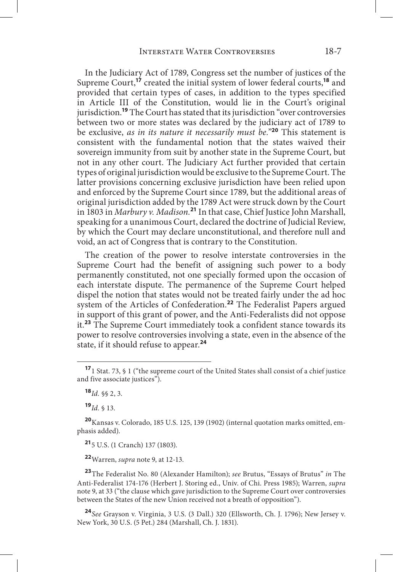In the Judiciary Act of 1789, Congress set the number of justices of the Supreme Court,**<sup>17</sup>** created the initial system of lower federal courts,**<sup>18</sup>** and provided that certain types of cases, in addition to the types specified in Article III of the Constitution, would lie in the Court's original jurisdiction.**<sup>19</sup>** The Court has stated that its jurisdiction "over controversies between two or more states was declared by the judiciary act of 1789 to be exclusive, *as in its nature it necessarily must be.*"**<sup>20</sup>** This statement is consistent with the fundamental notion that the states waived their sovereign immunity from suit by another state in the Supreme Court, but not in any other court. The Judiciary Act further provided that certain types of original jurisdiction would be exclusive to the Supreme Court. The latter provisions concerning exclusive jurisdiction have been relied upon and enforced by the Supreme Court since 1789, but the additional areas of original jurisdiction added by the 1789 Act were struck down by the Court in 1803 in *Marbury v. Madison.***<sup>21</sup>** In that case, Chief Justice John Marshall, speaking for a unanimous Court, declared the doctrine of Judicial Review, by which the Court may declare unconstitutional, and therefore null and void, an act of Congress that is contrary to the Constitution.

The creation of the power to resolve interstate controversies in the Supreme Court had the benefit of assigning such power to a body permanently constituted, not one specially formed upon the occasion of each interstate dispute. The permanence of the Supreme Court helped dispel the notion that states would not be treated fairly under the ad hoc system of the Articles of Confederation.**<sup>22</sup>** The Federalist Papers argued in support of this grant of power, and the Anti-Federalists did not oppose it.**<sup>23</sup>** The Supreme Court immediately took a confident stance towards its power to resolve controversies involving a state, even in the absence of the state, if it should refuse to appear.**<sup>24</sup>**

**<sup>19</sup>***Id.* § 13.

**<sup>21</sup>**5 U.S. (1 Cranch) 137 (1803).

**<sup>22</sup>**Warren, *supra* note 9, at 12-13.

**<sup>23</sup>**The Federalist No. 80 (Alexander Hamilton); *see* Brutus, "Essays of Brutus" *in* The Anti-Federalist 174-176 (Herbert J. Storing ed., Univ. of Chi. Press 1985); Warren, *supra*  note 9, at 33 ("the clause which gave jurisdiction to the Supreme Court over controversies between the States of the new Union received not a breath of opposition").

**<sup>24</sup>***See* Grayson v. Virginia, 3 U.S. (3 Dall.) 320 (Ellsworth, Ch. J. 1796); New Jersey v. New York, 30 U.S. (5 Pet.) 284 (Marshall, Ch. J. 1831).

**<sup>17</sup>**1 Stat. 73, § 1 ("the supreme court of the United States shall consist of a chief justice and five associate justices").

**<sup>18</sup>***Id.* §§ 2, 3.

**<sup>20</sup>**Kansas v. Colorado, 185 U.S. 125, 139 (1902) (internal quotation marks omitted, emphasis added).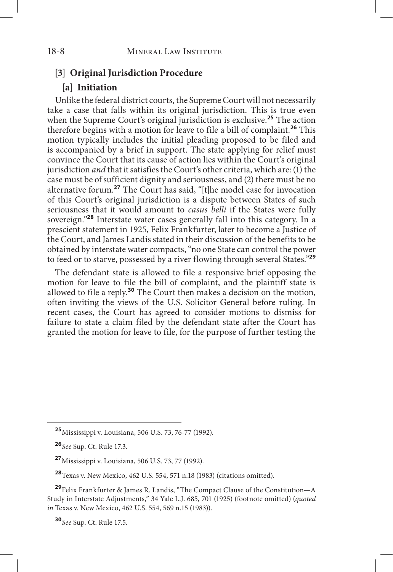#### **[3] Original Jurisdiction Procedure**

## **[a] Initiation**

Unlike the federal district courts, the Supreme Court will not necessarily take a case that falls within its original jurisdiction. This is true even when the Supreme Court's original jurisdiction is exclusive.**<sup>25</sup>** The action therefore begins with a motion for leave to file a bill of complaint.**<sup>26</sup>** This motion typically includes the initial pleading proposed to be filed and is accompanied by a brief in support. The state applying for relief must convince the Court that its cause of action lies within the Court's original jurisdiction *and* that it satisfies the Court's other criteria, which are: (1) the case must be of sufficient dignity and seriousness, and (2) there must be no alternative forum.**<sup>27</sup>** The Court has said, "[t]he model case for invocation of this Court's original jurisdiction is a dispute between States of such seriousness that it would amount to *casus belli* if the States were fully sovereign."**<sup>28</sup>** Interstate water cases generally fall into this category. In a prescient statement in 1925, Felix Frankfurter, later to become a Justice of the Court, and James Landis stated in their discussion of the benefits to be obtained by interstate water compacts, "no one State can control the power to feed or to starve, possessed by a river flowing through several States."**<sup>29</sup>**

The defendant state is allowed to file a responsive brief opposing the motion for leave to file the bill of complaint, and the plaintiff state is allowed to file a reply.**<sup>30</sup>** The Court then makes a decision on the motion, often inviting the views of the U.S. Solicitor General before ruling. In recent cases, the Court has agreed to consider motions to dismiss for failure to state a claim filed by the defendant state after the Court has granted the motion for leave to file, for the purpose of further testing the

**<sup>30</sup>***See* Sup. Ct. Rule 17.5.

**<sup>25</sup>**Mississippi v. Louisiana, 506 U.S. 73, 76-77 (1992).

**<sup>26</sup>***See* Sup. Ct. Rule 17.3.

**<sup>27</sup>**Mississippi v. Louisiana, 506 U.S. 73, 77 (1992).

**<sup>28</sup>**Texas v. New Mexico, 462 U.S. 554, 571 n.18 (1983) (citations omitted).

**<sup>29</sup>**Felix Frankfurter & James R. Landis, "The Compact Clause of the Constitution—A Study in Interstate Adjustments," 34 Yale L.J. 685, 701 (1925) (footnote omitted) (*quoted in* Texas v. New Mexico, 462 U.S. 554, 569 n.15 (1983)).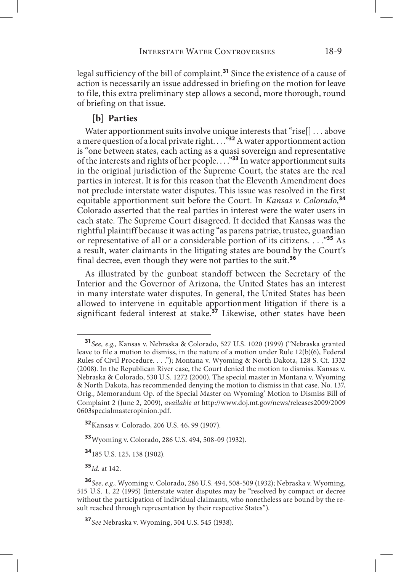legal sufficiency of the bill of complaint.**<sup>31</sup>** Since the existence of a cause of action is necessarily an issue addressed in briefing on the motion for leave to file, this extra preliminary step allows a second, more thorough, round of briefing on that issue.

#### **[b] Parties**

Water apportionment suits involve unique interests that "rise[] . . . above a mere question of a local private right. . . ."**<sup>32</sup>** A water apportionment action is "one between states, each acting as a quasi sovereign and representative of the interests and rights of her people. . . ."**<sup>33</sup>** In water apportionment suits in the original jurisdiction of the Supreme Court, the states are the real parties in interest. It is for this reason that the Eleventh Amendment does not preclude interstate water disputes. This issue was resolved in the first equitable apportionment suit before the Court. In *Kansas v. Colorado*, **34** Colorado asserted that the real parties in interest were the water users in each state. The Supreme Court disagreed. It decided that Kansas was the rightful plaintiff because it was acting "as parens patriæ, trustee, guardian or representative of all or a considerable portion of its citizens. . . ."**<sup>35</sup>** As a result, water claimants in the litigating states are bound by the Court's final decree, even though they were not parties to the suit.**<sup>36</sup>**

As illustrated by the gunboat standoff between the Secretary of the Interior and the Governor of Arizona, the United States has an interest in many interstate water disputes. In general, the United States has been allowed to intervene in equitable apportionment litigation if there is a significant federal interest at stake.**<sup>37</sup>** Likewise, other states have been

**<sup>33</sup>**Wyoming v. Colorado, 286 U.S. 494, 508-09 (1932).

**<sup>34</sup>**185 U.S. 125, 138 (1902).

**<sup>35</sup>***Id.* at 142.

**<sup>37</sup>***See* Nebraska v. Wyoming, 304 U.S. 545 (1938).

**<sup>31</sup>***See, e.g.,* Kansas v. Nebraska & Colorado, 527 U.S. 1020 (1999) ("Nebraska granted leave to file a motion to dismiss, in the nature of a motion under Rule 12(b)(6), Federal Rules of Civil Procedure. . . ."); Montana v. Wyoming & North Dakota, 128 S. Ct. 1332 (2008). In the Republican River case, the Court denied the motion to dismiss. Kansas v. Nebraska & Colorado, 530 U.S. 1272 (2000). The special master in Montana v. Wyoming & North Dakota, has recommended denying the motion to dismiss in that case. No. 137, Orig., Memorandum Op. of the Special Master on Wyoming' Motion to Dismiss Bill of Complaint 2 (June 2, 2009), *available at* http://www.doj.mt.gov/news/releases2009/2009 0603specialmasteropinion.pdf.

**<sup>32</sup>**Kansas v. Colorado, 206 U.S. 46, 99 (1907).

**<sup>36</sup>***See, e.g.,* Wyoming v. Colorado, 286 U.S. 494, 508-509 (1932); Nebraska v. Wyoming, 515 U.S. 1, 22 (1995) (interstate water disputes may be "resolved by compact or decree without the participation of individual claimants, who nonetheless are bound by the result reached through representation by their respective States").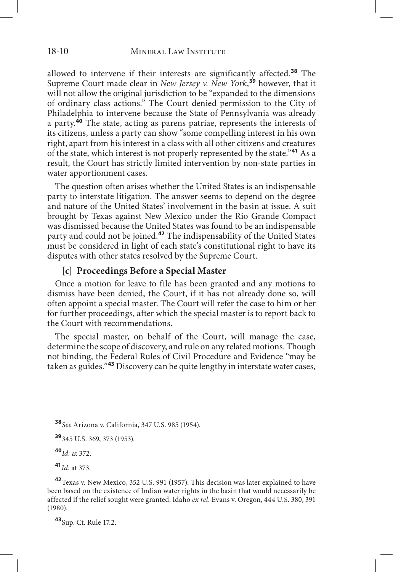allowed to intervene if their interests are significantly affected.**<sup>38</sup>** The Supreme Court made clear in *New Jersey v. New York*, **<sup>39</sup>** however, that it will not allow the original jurisdiction to be "expanded to the dimensions of ordinary class actions." The Court denied permission to the City of Philadelphia to intervene because the State of Pennsylvania was already a party.**<sup>40</sup>** The state, acting as parens patriae, represents the interests of its citizens, unless a party can show "some compelling interest in his own right, apart from his interest in a class with all other citizens and creatures of the state, which interest is not properly represented by the state."**<sup>41</sup>** As a result, the Court has strictly limited intervention by non-state parties in water apportionment cases.

The question often arises whether the United States is an indispensable party to interstate litigation. The answer seems to depend on the degree and nature of the United States' involvement in the basin at issue. A suit brought by Texas against New Mexico under the Rio Grande Compact was dismissed because the United States was found to be an indispensable party and could not be joined.**<sup>42</sup>** The indispensability of the United States must be considered in light of each state's constitutional right to have its disputes with other states resolved by the Supreme Court.

## **[c] Proceedings Before a Special Master**

Once a motion for leave to file has been granted and any motions to dismiss have been denied, the Court, if it has not already done so, will often appoint a special master. The Court will refer the case to him or her for further proceedings, after which the special master is to report back to the Court with recommendations.

The special master, on behalf of the Court, will manage the case, determine the scope of discovery, and rule on any related motions. Though not binding, the Federal Rules of Civil Procedure and Evidence "may be taken as guides."**<sup>43</sup>** Discovery can be quite lengthy in interstate water cases,

**<sup>40</sup>***Id.* at 372.

**<sup>41</sup>***Id.* at 373.

**<sup>43</sup>**Sup. Ct. Rule 17.2.

**<sup>38</sup>***See* Arizona v. California, 347 U.S. 985 (1954).

**<sup>39</sup>**345 U.S. 369, 373 (1953).

**<sup>42</sup>**Texas v. New Mexico, 352 U.S. 991 (1957). This decision was later explained to have been based on the existence of Indian water rights in the basin that would necessarily be affected if the relief sought were granted. Idaho *ex rel.* Evans v. Oregon, 444 U.S. 380, 391 (1980).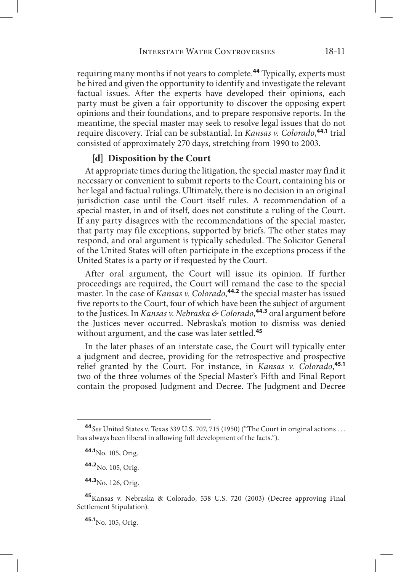requiring many months if not years to complete.**<sup>44</sup>** Typically, experts must be hired and given the opportunity to identify and investigate the relevant factual issues. After the experts have developed their opinions, each party must be given a fair opportunity to discover the opposing expert opinions and their foundations, and to prepare responsive reports. In the meantime, the special master may seek to resolve legal issues that do not require discovery. Trial can be substantial. In *Kansas v. Colorado*, **44.1** trial consisted of approximately 270 days, stretching from 1990 to 2003.

#### **[d] Disposition by the Court**

At appropriate times during the litigation, the special master may find it necessary or convenient to submit reports to the Court, containing his or her legal and factual rulings. Ultimately, there is no decision in an original jurisdiction case until the Court itself rules. A recommendation of a special master, in and of itself, does not constitute a ruling of the Court. If any party disagrees with the recommendations of the special master, that party may file exceptions, supported by briefs. The other states may respond, and oral argument is typically scheduled. The Solicitor General of the United States will often participate in the exceptions process if the United States is a party or if requested by the Court.

After oral argument, the Court will issue its opinion. If further proceedings are required, the Court will remand the case to the special master. In the case of *Kansas v. Colorado*, **44.2** the special master has issued five reports to the Court, four of which have been the subject of argument to the Justices. In *Kansas v. Nebraska & Colorado*, **44.3** oral argument before the Justices never occurred. Nebraska's motion to dismiss was denied without argument, and the case was later settled.**<sup>45</sup>**

In the later phases of an interstate case, the Court will typically enter a judgment and decree, providing for the retrospective and prospective relief granted by the Court. For instance, in *Kansas v. Colorado*, **45.1** two of the three volumes of the Special Master's Fifth and Final Report contain the proposed Judgment and Decree. The Judgment and Decree

**45.1**No. 105, Orig.

**<sup>44</sup>***See* United States v. Texas 339 U.S. 707, 715 (1950) ("The Court in original actions . . . has always been liberal in allowing full development of the facts.").

**<sup>44.1</sup>**No. 105, Orig.

**<sup>44.2</sup>**No. 105, Orig.

**<sup>44.3</sup>**No. 126, Orig.

**<sup>45</sup>**Kansas v. Nebraska & Colorado, 538 U.S. 720 (2003) (Decree approving Final Settlement Stipulation).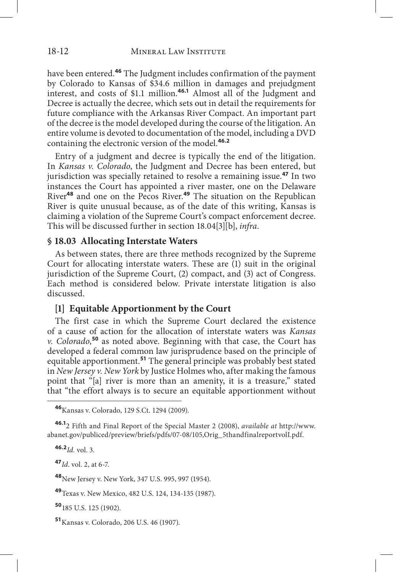have been entered.**<sup>46</sup>** The Judgment includes confirmation of the payment by Colorado to Kansas of \$34.6 million in damages and prejudgment interest, and costs of \$1.1 million.**46.1** Almost all of the Judgment and Decree is actually the decree, which sets out in detail the requirements for future compliance with the Arkansas River Compact. An important part of the decree is the model developed during the course of the litigation. An entire volume is devoted to documentation of the model, including a DVD containing the electronic version of the model.**46.2**

Entry of a judgment and decree is typically the end of the litigation. In *Kansas v. Colorado*, the Judgment and Decree has been entered, but jurisdiction was specially retained to resolve a remaining issue.**<sup>47</sup>** In two instances the Court has appointed a river master, one on the Delaware River**<sup>48</sup>** and one on the Pecos River.**<sup>49</sup>** The situation on the Republican River is quite unusual because, as of the date of this writing, Kansas is claiming a violation of the Supreme Court's compact enforcement decree. This will be discussed further in section 18.04[3][b], *infra*.

## **§ 18.03 Allocating Interstate Waters**

As between states, there are three methods recognized by the Supreme Court for allocating interstate waters. These are (1) suit in the original jurisdiction of the Supreme Court, (2) compact, and (3) act of Congress. Each method is considered below. Private interstate litigation is also discussed.

## **[1] Equitable Apportionment by the Court**

The first case in which the Supreme Court declared the existence of a cause of action for the allocation of interstate waters was *Kansas v. Colorado*, **<sup>50</sup>** as noted above. Beginning with that case, the Court has developed a federal common law jurisprudence based on the principle of equitable apportionment.**<sup>51</sup>** The general principle was probably best stated in *New Jersey v. New York* by Justice Holmes who, after making the famous point that "[a] river is more than an amenity, it is a treasure," stated that "the effort always is to secure an equitable apportionment without

**46.2***Id.* vol. 3.

**<sup>47</sup>***Id*. vol. 2, at 6-7.

**<sup>48</sup>**New Jersey v. New York, 347 U.S. 995, 997 (1954).

**<sup>49</sup>**Texas v. New Mexico, 482 U.S. 124, 134-135 (1987).

**<sup>50</sup>**185 U.S. 125 (1902).

**<sup>51</sup>**Kansas v. Colorado, 206 U.S. 46 (1907).

**<sup>46</sup>**Kansas v. Colorado, 129 S.Ct. 1294 (2009).

**<sup>46.1</sup>**2 Fifth and Final Report of the Special Master 2 (2008), *available at* http://www. abanet.gov/publiced/preview/briefs/pdfs/07-08/105,Orig\_5thandfinalreportvolI.pdf.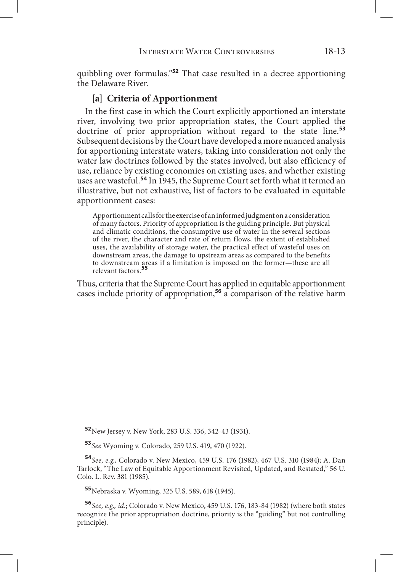quibbling over formulas."**<sup>52</sup>** That case resulted in a decree apportioning the Delaware River.

## **[a] Criteria of Apportionment**

In the first case in which the Court explicitly apportioned an interstate river, involving two prior appropriation states, the Court applied the doctrine of prior appropriation without regard to the state line.**<sup>53</sup>** Subsequent decisions by the Court have developed a more nuanced analysis for apportioning interstate waters, taking into consideration not only the water law doctrines followed by the states involved, but also efficiency of use, reliance by existing economies on existing uses, and whether existing uses are wasteful.**<sup>54</sup>** In 1945, the Supreme Court set forth what it termed an illustrative, but not exhaustive, list of factors to be evaluated in equitable apportionment cases:

Apportionment calls for the exercise of an informed judgment on a consideration of many factors. Priority of appropriation is the guiding principle. But physical and climatic conditions, the consumptive use of water in the several sections of the river, the character and rate of return flows, the extent of established uses, the availability of storage water, the practical effect of wasteful uses on downstream areas, the damage to upstream areas as compared to the benefits to downstream areas if a limitation is imposed on the former—these are all relevant factors.**<sup>55</sup>**

Thus, criteria that the Supreme Court has applied in equitable apportionment cases include priority of appropriation,**<sup>56</sup>** a comparison of the relative harm

**<sup>55</sup>**Nebraska v. Wyoming, 325 U.S. 589, 618 (1945).

**<sup>52</sup>**New Jersey v. New York, 283 U.S. 336, 342-43 (1931).

**<sup>53</sup>***See* Wyoming v. Colorado, 259 U.S. 419, 470 (1922).

**<sup>54</sup>***See, e.g.,* Colorado v. New Mexico, 459 U.S. 176 (1982), 467 U.S. 310 (1984); A. Dan Tarlock, "The Law of Equitable Apportionment Revisited, Updated, and Restated," 56 U. Colo. L. Rev. 381 (1985).

**<sup>56</sup>***See, e.g., id.*; Colorado v. New Mexico, 459 U.S. 176, 183-84 (1982) (where both states recognize the prior appropriation doctrine, priority is the "guiding" but not controlling principle).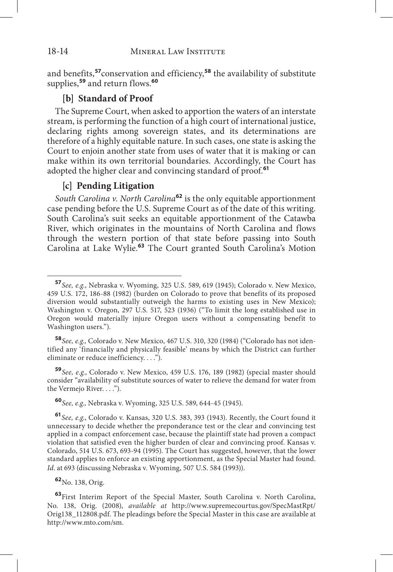#### 18-14 MINERAL LAW INSTITUTE

and benefits,**<sup>57</sup>**conservation and efficiency,**<sup>58</sup>** the availability of substitute supplies,**<sup>59</sup>** and return flows.**<sup>60</sup>**

# **[b] Standard of Proof**

The Supreme Court, when asked to apportion the waters of an interstate stream, is performing the function of a high court of international justice, declaring rights among sovereign states, and its determinations are therefore of a highly equitable nature. In such cases, one state is asking the Court to enjoin another state from uses of water that it is making or can make within its own territorial boundaries. Accordingly, the Court has adopted the higher clear and convincing standard of proof.**<sup>61</sup>**

## **[c] Pending Litigation**

*South Carolina v. North Carolina***<sup>62</sup>** is the only equitable apportionment case pending before the U.S. Supreme Court as of the date of this writing. South Carolina's suit seeks an equitable apportionment of the Catawba River, which originates in the mountains of North Carolina and flows through the western portion of that state before passing into South Carolina at Lake Wylie.**<sup>63</sup>** The Court granted South Carolina's Motion

**<sup>58</sup>***See, e.g.,* Colorado v. New Mexico, 467 U.S. 310, 320 (1984) ("Colorado has not identified any 'financially and physically feasible' means by which the District can further eliminate or reduce inefficiency. . . .").

**<sup>59</sup>***See, e.g.*, Colorado v. New Mexico, 459 U.S. 176, 189 (1982) (special master should consider "availability of substitute sources of water to relieve the demand for water from the Vermejo River. . . .").

**<sup>60</sup>***See, e.g.,* Nebraska v. Wyoming, 325 U.S. 589, 644-45 (1945).

**<sup>57</sup>***See, e.g.*, Nebraska v. Wyoming, 325 U.S. 589, 619 (1945); Colorado v. New Mexico, 459 U.S. 172, 186-88 (1982) (burden on Colorado to prove that benefits of its proposed diversion would substantially outweigh the harms to existing uses in New Mexico); Washington v. Oregon, 297 U.S. 517, 523 (1936) ("To limit the long established use in Oregon would materially injure Oregon users without a compensating benefit to Washington users.").

**<sup>61</sup>***See, e.g*., Colorado v. Kansas, 320 U.S. 383, 393 (1943). Recently, the Court found it unnecessary to decide whether the preponderance test or the clear and convincing test applied in a compact enforcement case, because the plaintiff state had proven a compact violation that satisfied even the higher burden of clear and convincing proof. Kansas v. Colorado, 514 U.S. 673, 693-94 (1995). The Court has suggested, however, that the lower standard applies to enforce an existing apportionment, as the Special Master had found. *Id*. at 693 (discussing Nebraska v. Wyoming, 507 U.S. 584 (1993)).

**<sup>62</sup>**No. 138, Orig.

**<sup>63</sup>**First Interim Report of the Special Master, South Carolina v. North Carolina, No. 138, Orig. (2008), *available at* http://www.supremecourtus.gov/SpecMastRpt/ Orig138\_112808.pdf. The pleadings before the Special Master in this case are available at http://www.mto.com/sm.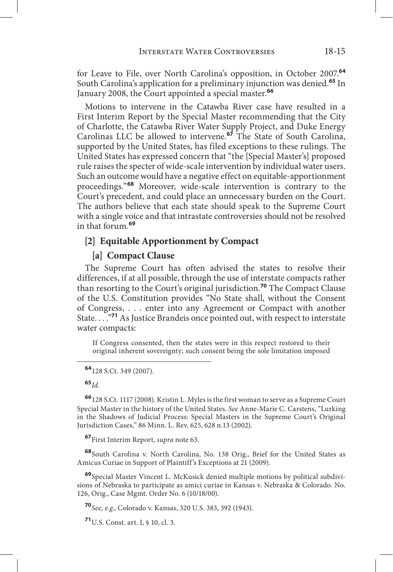for Leave to File, over North Carolina's opposition, in October 2007.**<sup>64</sup>** South Carolina's application for a preliminary injunction was denied.**<sup>65</sup>** In January 2008, the Court appointed a special master.**<sup>66</sup>**

Motions to intervene in the Catawba River case have resulted in a First Interim Report by the Special Master recommending that the City of Charlotte, the Catawba River Water Supply Project, and Duke Energy Carolinas LLC be allowed to intervene.**<sup>67</sup>** The State of South Carolina, supported by the United States, has filed exceptions to these rulings. The United States has expressed concern that "the [Special Master's] proposed rule raises the specter of wide-scale intervention by individual water users. Such an outcome would have a negative effect on equitable-apportionment proceedings."**<sup>68</sup>** Moreover, wide-scale intervention is contrary to the Court's precedent, and could place an unnecessary burden on the Court. The authors believe that each state should speak to the Supreme Court with a single voice and that intrastate controversies should not be resolved in that forum.**<sup>69</sup>**

## **[2] Equitable Apportionment by Compact**

#### **[a] Compact Clause**

The Supreme Court has often advised the states to resolve their differences, if at all possible, through the use of interstate compacts rather than resorting to the Court's original jurisdiction.**<sup>70</sup>** The Compact Clause of the U.S. Constitution provides "No State shall, without the Consent of Congress, . . . enter into any Agreement or Compact with another State. . . ."**<sup>71</sup>** As Justice Brandeis once pointed out, with respect to interstate water compacts:

If Congress consented, then the states were in this respect restored to their original inherent sovereignty; such consent being the sole limitation imposed

#### **<sup>65</sup>***Id.*

**<sup>66</sup>**128 S.Ct. 1117 (2008). Kristin L. Myles is the first woman to serve as a Supreme Court Special Master in the history of the United States. *See* Anne-Marie C. Carstens, "Lurking in the Shadows of Judicial Process: Special Masters in the Supreme Court's Original Jurisdiction Cases," 86 Minn. L. Rev. 625, 628 n.13 (2002).

**<sup>67</sup>**First Interim Report, *supra* note 63.

**<sup>68</sup>**South Carolina v. North Carolina, No. 138 Orig., Brief for the United States as Amicus Curiae in Support of Plaintiff's Exceptions at 21 (2009).

**<sup>69</sup>**Special Master Vincent L. McKusick denied multiple motions by political subdivisions of Nebraska to participate as amici curiae in Kansas v. Nebraska & Colorado. No. 126, Orig., Case Mgmt. Order No. 6 (10/18/00).

**<sup>70</sup>***See, e.g.*, Colorado v. Kansas, 320 U.S. 383, 392 (1943).

**<sup>71</sup>**U.S. Const. art. I, § 10, cl. 3.

**<sup>64</sup>**128 S.Ct. 349 (2007).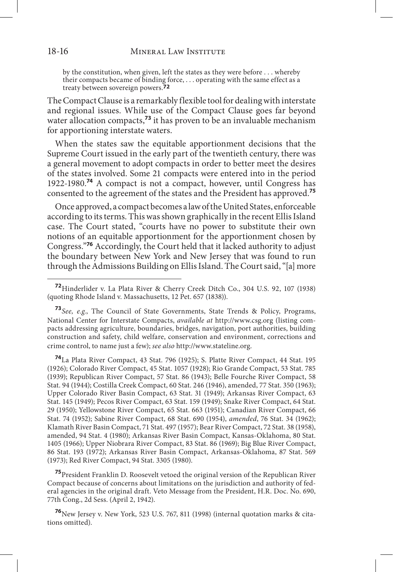by the constitution, when given, left the states as they were before . . . whereby their compacts became of binding force, . . . operating with the same effect as a treaty between sovereign powers.**72**

The Compact Clause is a remarkably flexible tool for dealing with interstate and regional issues. While use of the Compact Clause goes far beyond water allocation compacts,<sup>73</sup> it has proven to be an invaluable mechanism for apportioning interstate waters.

When the states saw the equitable apportionment decisions that the Supreme Court issued in the early part of the twentieth century, there was a general movement to adopt compacts in order to better meet the desires of the states involved. Some 21 compacts were entered into in the period 1922-1980.**<sup>74</sup>** A compact is not a compact, however, until Congress has consented to the agreement of the states and the President has approved.**<sup>75</sup>**

Once approved, a compact becomes a law of the United States, enforceable according to its terms. This was shown graphically in the recent Ellis Island case. The Court stated, "courts have no power to substitute their own notions of an equitable apportionment for the apportionment chosen by Congress."**<sup>76</sup>** Accordingly, the Court held that it lacked authority to adjust the boundary between New York and New Jersey that was found to run through the Admissions Building on Ellis Island. The Court said, "[a] more

**<sup>74</sup>**La Plata River Compact, 43 Stat. 796 (1925); S. Platte River Compact, 44 Stat. 195 (1926); Colorado River Compact, 45 Stat. 1057 (1928); Rio Grande Compact, 53 Stat. 785 (1939); Republican River Compact, 57 Stat. 86 (1943); Belle Fourche River Compact, 58 Stat. 94 (1944); Costilla Creek Compact, 60 Stat. 246 (1946), amended, 77 Stat. 350 (1963); Upper Colorado River Basin Compact, 63 Stat. 31 (1949); Arkansas River Compact, 63 Stat. 145 (1949); Pecos River Compact, 63 Stat. 159 (1949); Snake River Compact, 64 Stat. 29 (1950); Yellowstone River Compact, 65 Stat. 663 (1951); Canadian River Compact, 66 Stat. 74 (1952); Sabine River Compact, 68 Stat. 690 (1954), *amended*, 76 Stat. 34 (1962); Klamath River Basin Compact, 71 Stat. 497 (1957); Bear River Compact, 72 Stat. 38 (1958), amended, 94 Stat. 4 (1980); Arkansas River Basin Compact, Kansas-Oklahoma, 80 Stat. 1405 (1966); Upper Niobrara River Compact, 83 Stat. 86 (1969); Big Blue River Compact, 86 Stat. 193 (1972); Arkansas River Basin Compact, Arkansas-Oklahoma, 87 Stat. 569 (1973); Red River Compact, 94 Stat. 3305 (1980).

**<sup>75</sup>**President Franklin D. Roosevelt vetoed the original version of the Republican River Compact because of concerns about limitations on the jurisdiction and authority of federal agencies in the original draft. Veto Message from the President, H.R. Doc. No. 690, 77th Cong., 2d Sess. (April 2, 1942).

**<sup>76</sup>**New Jersey v. New York, 523 U.S. 767, 811 (1998) (internal quotation marks & citations omitted).

**<sup>72</sup>**Hinderlider v. La Plata River & Cherry Creek Ditch Co., 304 U.S. 92, 107 (1938) (quoting Rhode Island v. Massachusetts, 12 Pet. 657 (1838)).

**<sup>73</sup>***See, e.g.*, The Council of State Governments, State Trends & Policy, Programs, National Center for Interstate Compacts, *available at* http://www.csg.org (listing compacts addressing agriculture, boundaries, bridges, navigation, port authorities, building construction and safety, child welfare, conservation and environment, corrections and crime control, to name just a few); *see also* http://www.stateline.org.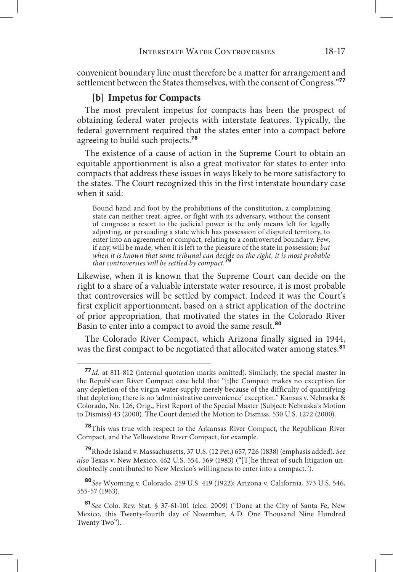convenient boundary line must therefore be a matter for arrangement and settlement between the States themselves, with the consent of Congress."**<sup>77</sup>**

## **[b] Impetus for Compacts**

The most prevalent impetus for compacts has been the prospect of obtaining federal water projects with interstate features. Typically, the federal government required that the states enter into a compact before agreeing to build such projects.**<sup>78</sup>**

The existence of a cause of action in the Supreme Court to obtain an equitable apportionment is also a great motivator for states to enter into compacts that address these issues in ways likely to be more satisfactory to the states. The Court recognized this in the first interstate boundary case when it said:

Bound hand and foot by the prohibitions of the constitution, a complaining state can neither treat, agree, or fight with its adversary, without the consent of congress: a resort to the judicial power is the only means left for legally adjusting, or persuading a state which has possession of disputed territory, to enter into an agreement or compact, relating to a controverted boundary. Few, if any, will be made, when it is left to the pleasure of the state in possession; *but when it is known that some tribunal can decide on the right, it is most probable that controversies will be settled by compact.***<sup>79</sup>**

Likewise, when it is known that the Supreme Court can decide on the right to a share of a valuable interstate water resource, it is most probable that controversies will be settled by compact. Indeed it was the Court's first explicit apportionment, based on a strict application of the doctrine of prior appropriation, that motivated the states in the Colorado River Basin to enter into a compact to avoid the same result.**<sup>80</sup>**

The Colorado River Compact, which Arizona finally signed in 1944, was the first compact to be negotiated that allocated water among states.**<sup>81</sup>**

**<sup>78</sup>**This was true with respect to the Arkansas River Compact, the Republican River Compact, and the Yellowstone River Compact, for example.

**<sup>79</sup>**Rhode Island v. Massachusetts, 37 U.S. (12 Pet.) 657, 726 (1838) (emphasis added). *See also* Texas v. New Mexico, 462 U.S. 554, 569 (1983) ("[T]he threat of such litigation undoubtedly contributed to New Mexico's willingness to enter into a compact.").

**<sup>80</sup>***See* Wyoming v. Colorado, 259 U.S. 419 (1922); Arizona v. California, 373 U.S. 546, 555-57 (1963).

**<sup>77</sup>***Id*. at 811-812 (internal quotation marks omitted). Similarly, the special master in the Republican River Compact case held that "[t]he Compact makes no exception for any depletion of the virgin water supply merely because of the difficulty of quantifying that depletion; there is no 'administrative convenience' exception." Kansas v. Nebraska & Colorado, No. 126, Orig., First Report of the Special Master (Subject: Nebraska's Motion to Dismiss) 43 (2000). The Court denied the Motion to Dismiss. 530 U.S. 1272 (2000).

**<sup>81</sup>***See* Colo. Rev. Stat. § 37-61-101 (elec. 2009) ("Done at the City of Santa Fe, New Mexico, this Twenty-fourth day of November, A.D. One Thousand Nine Hundred Twenty-Two").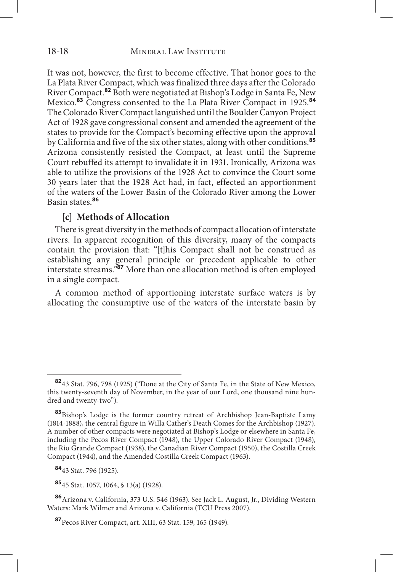It was not, however, the first to become effective. That honor goes to the La Plata River Compact, which was finalized three days after the Colorado River Compact.**<sup>82</sup>** Both were negotiated at Bishop's Lodge in Santa Fe, New Mexico.**<sup>83</sup>** Congress consented to the La Plata River Compact in 1925.**<sup>84</sup>** The Colorado River Compact languished until the Boulder Canyon Project Act of 1928 gave congressional consent and amended the agreement of the states to provide for the Compact's becoming effective upon the approval by California and five of the six other states, along with other conditions.**<sup>85</sup>** Arizona consistently resisted the Compact, at least until the Supreme Court rebuffed its attempt to invalidate it in 1931. Ironically, Arizona was able to utilize the provisions of the 1928 Act to convince the Court some 30 years later that the 1928 Act had, in fact, effected an apportionment of the waters of the Lower Basin of the Colorado River among the Lower Basin states.**<sup>86</sup>**

# **[c] Methods of Allocation**

There is great diversity in the methods of compact allocation of interstate rivers. In apparent recognition of this diversity, many of the compacts contain the provision that: "[t]his Compact shall not be construed as establishing any general principle or precedent applicable to other interstate streams."**<sup>87</sup>** More than one allocation method is often employed in a single compact.

A common method of apportioning interstate surface waters is by allocating the consumptive use of the waters of the interstate basin by

**<sup>85</sup>**45 Stat. 1057, 1064, § 13(a) (1928).

**<sup>82</sup>**43 Stat. 796, 798 (1925) ("Done at the City of Santa Fe, in the State of New Mexico, this twenty-seventh day of November, in the year of our Lord, one thousand nine hundred and twenty-two").

**<sup>83</sup>**Bishop's Lodge is the former country retreat of Archbishop Jean-Baptiste Lamy (1814-1888), the central figure in Willa Cather's Death Comes for the Archbishop (1927). A number of other compacts were negotiated at Bishop's Lodge or elsewhere in Santa Fe, including the Pecos River Compact (1948), the Upper Colorado River Compact (1948), the Rio Grande Compact (1938), the Canadian River Compact (1950), the Costilla Creek Compact (1944), and the Amended Costilla Creek Compact (1963).

**<sup>84</sup>**43 Stat. 796 (1925).

**<sup>86</sup>**Arizona v. California, 373 U.S. 546 (1963). See Jack L. August, Jr., Dividing Western Waters: Mark Wilmer and Arizona v. California (TCU Press 2007).

**<sup>87</sup>**Pecos River Compact, art. XIII, 63 Stat. 159, 165 (1949).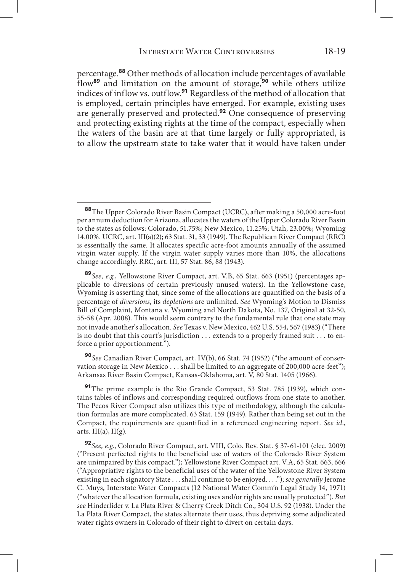percentage.**<sup>88</sup>** Other methods of allocation include percentages of available flow**<sup>89</sup>** and limitation on the amount of storage,**<sup>90</sup>** while others utilize indices of inflow vs. outflow.**<sup>91</sup>** Regardless of the method of allocation that is employed, certain principles have emerged. For example, existing uses are generally preserved and protected.**<sup>92</sup>** One consequence of preserving and protecting existing rights at the time of the compact, especially when the waters of the basin are at that time largely or fully appropriated, is to allow the upstream state to take water that it would have taken under

**<sup>90</sup>***See* Canadian River Compact, art. IV(b), 66 Stat. 74 (1952) ("the amount of conservation storage in New Mexico . . . shall be limited to an aggregate of 200,000 acre-feet"); Arkansas River Basin Compact, Kansas-Oklahoma, art. V, 80 Stat. 1405 (1966).

**<sup>91</sup>**The prime example is the Rio Grande Compact, 53 Stat. 785 (1939), which contains tables of inflows and corresponding required outflows from one state to another. The Pecos River Compact also utilizes this type of methodology, although the calculation formulas are more complicated. 63 Stat. 159 (1949). Rather than being set out in the Compact, the requirements are quantified in a referenced engineering report. *See id*., arts.  $III(a)$ ,  $II(g)$ .

**<sup>92</sup>***See, e.g.*, Colorado River Compact, art. VIII, Colo. Rev. Stat. § 37-61-101 (elec. 2009) ("Present perfected rights to the beneficial use of waters of the Colorado River System are unimpaired by this compact."); Yellowstone River Compact art. V.A, 65 Stat. 663, 666 ("Appropriative rights to the beneficial uses of the water of the Yellowstone River System existing in each signatory State . . . shall continue to be enjoyed. . . ."); *see generally* Jerome C. Muys, Interstate Water Compacts (12 National Water Comm'n Legal Study 14, 1971) ("whatever the allocation formula, existing uses and/or rights are usually protected"). *But see* Hinderlider v. La Plata River & Cherry Creek Ditch Co., 304 U.S. 92 (1938). Under the La Plata River Compact, the states alternate their uses, thus depriving some adjudicated water rights owners in Colorado of their right to divert on certain days.

**<sup>88</sup>**The Upper Colorado River Basin Compact (UCRC), after making a 50,000 acre-foot per annum deduction for Arizona, allocates the waters of the Upper Colorado River Basin to the states as follows: Colorado, 51.75%; New Mexico, 11.25%; Utah, 23.00%; Wyoming 14.00%. UCRC, art. III(a)(2); 63 Stat. 31, 33 (1949). The Republican River Compact (RRC) is essentially the same. It allocates specific acre-foot amounts annually of the assumed virgin water supply. If the virgin water supply varies more than 10%, the allocations change accordingly. RRC, art. III, 57 Stat. 86, 88 (1943).

**<sup>89</sup>***See, e.g.*, Yellowstone River Compact, art. V.B, 65 Stat. 663 (1951) (percentages applicable to diversions of certain previously unused waters). In the Yellowstone case, Wyoming is asserting that, since some of the allocations are quantified on the basis of a percentage of *diversions*, its *depletions* are unlimited. *See* Wyoming's Motion to Dismiss Bill of Complaint, Montana v. Wyoming and North Dakota, No. 137, Original at 32-50, 55-58 (Apr. 2008). This would seem contrary to the fundamental rule that one state may not invade another's allocation. *See* Texas v. New Mexico, 462 U.S. 554, 567 (1983) ("There is no doubt that this court's jurisdiction . . . extends to a properly framed suit . . . to enforce a prior apportionment.").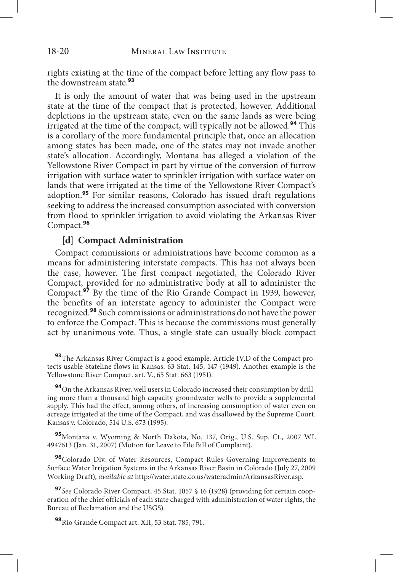rights existing at the time of the compact before letting any flow pass to the downstream state.**<sup>93</sup>**

It is only the amount of water that was being used in the upstream state at the time of the compact that is protected, however. Additional depletions in the upstream state, even on the same lands as were being irrigated at the time of the compact, will typically not be allowed.**<sup>94</sup>** This is a corollary of the more fundamental principle that, once an allocation among states has been made, one of the states may not invade another state's allocation. Accordingly, Montana has alleged a violation of the Yellowstone River Compact in part by virtue of the conversion of furrow irrigation with surface water to sprinkler irrigation with surface water on lands that were irrigated at the time of the Yellowstone River Compact's adoption.**<sup>95</sup>** For similar reasons, Colorado has issued draft regulations seeking to address the increased consumption associated with conversion from flood to sprinkler irrigation to avoid violating the Arkansas River Compact.**<sup>96</sup>**

## **[d] Compact Administration**

Compact commissions or administrations have become common as a means for administering interstate compacts. This has not always been the case, however. The first compact negotiated, the Colorado River Compact, provided for no administrative body at all to administer the Compact.**<sup>97</sup>** By the time of the Rio Grande Compact in 1939, however, the benefits of an interstate agency to administer the Compact were recognized.**<sup>98</sup>** Such commissions or administrations do not have the power to enforce the Compact. This is because the commissions must generally act by unanimous vote. Thus, a single state can usually block compact

**<sup>96</sup>**Colorado Div. of Water Resources, Compact Rules Governing Improvements to Surface Water Irrigation Systems in the Arkansas River Basin in Colorado (July 27, 2009 Working Draft), *available at* http://water.state.co.us/wateradmin/ArkansasRiver.asp.

**<sup>93</sup>**The Arkansas River Compact is a good example. Article IV.D of the Compact protects usable Stateline flows in Kansas. 63 Stat. 145, 147 (1949). Another example is the Yellowstone River Compact. art. V., 65 Stat. 663 (1951).

**<sup>94</sup>**On the Arkansas River, well users in Colorado increased their consumption by drilling more than a thousand high capacity groundwater wells to provide a supplemental supply. This had the effect, among others, of increasing consumption of water even on acreage irrigated at the time of the Compact, and was disallowed by the Supreme Court. Kansas v. Colorado, 514 U.S. 673 (1995).

**<sup>95</sup>**Montana v. Wyoming & North Dakota, No. 137, Orig., U.S. Sup. Ct., 2007 WL 4947613 (Jan. 31, 2007) (Motion for Leave to File Bill of Complaint).

**<sup>97</sup>***See* Colorado River Compact, 45 Stat. 1057 § 16 (1928) (providing for certain cooperation of the chief officials of each state charged with administration of water rights, the Bureau of Reclamation and the USGS).

**<sup>98</sup>**Rio Grande Compact art. XII, 53 Stat. 785, 791.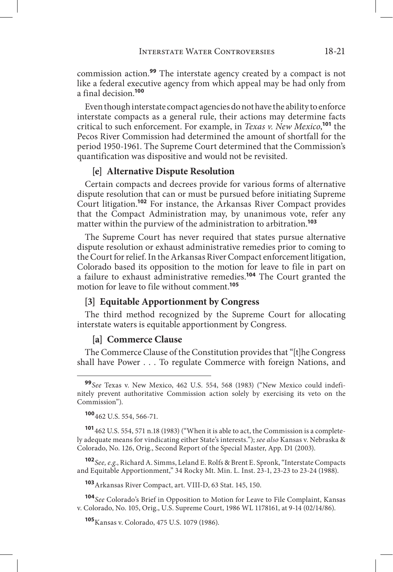commission action.**<sup>99</sup>** The interstate agency created by a compact is not like a federal executive agency from which appeal may be had only from a final decision.**<sup>100</sup>**

Even though interstate compact agencies do not have the ability to enforce interstate compacts as a general rule, their actions may determine facts critical to such enforcement. For example, in *Texas v. New Mexico*, **<sup>101</sup>** the Pecos River Commission had determined the amount of shortfall for the period 1950-1961. The Supreme Court determined that the Commission's quantification was dispositive and would not be revisited.

## **[e] Alternative Dispute Resolution**

Certain compacts and decrees provide for various forms of alternative dispute resolution that can or must be pursued before initiating Supreme Court litigation.**<sup>102</sup>** For instance, the Arkansas River Compact provides that the Compact Administration may, by unanimous vote, refer any matter within the purview of the administration to arbitration.**<sup>103</sup>**

The Supreme Court has never required that states pursue alternative dispute resolution or exhaust administrative remedies prior to coming to the Court for relief. In the Arkansas River Compact enforcement litigation, Colorado based its opposition to the motion for leave to file in part on a failure to exhaust administrative remedies.**<sup>104</sup>** The Court granted the motion for leave to file without comment.**<sup>105</sup>**

#### **[3] Equitable Apportionment by Congress**

The third method recognized by the Supreme Court for allocating interstate waters is equitable apportionment by Congress.

## **[a] Commerce Clause**

The Commerce Clause of the Constitution provides that "[t]he Congress shall have Power . . . To regulate Commerce with foreign Nations, and

**<sup>101</sup>**462 U.S. 554, 571 n.18 (1983) ("When it is able to act, the Commission is a completely adequate means for vindicating either State's interests."); *see also* Kansas v. Nebraska & Colorado, No. 126, Orig., Second Report of the Special Master, App. D1 (2003).

**<sup>102</sup>***See, e.g*., Richard A. Simms, Leland E. Rolfs & Brent E. Spronk, "Interstate Compacts and Equitable Apportionment," 34 Rocky Mt. Min. L. Inst. 23-1, 23-23 to 23-24 (1988).

**<sup>103</sup>**Arkansas River Compact, art. VIII-D, 63 Stat. 145, 150.

**<sup>104</sup>***See* Colorado's Brief in Opposition to Motion for Leave to File Complaint, Kansas v. Colorado, No. 105, Orig., U.S. Supreme Court, 1986 WL 1178161, at 9-14 (02/14/86).

**<sup>105</sup>**Kansas v. Colorado, 475 U.S. 1079 (1986).

**<sup>99</sup>***See* Texas v. New Mexico, 462 U.S. 554, 568 (1983) ("New Mexico could indefinitely prevent authoritative Commission action solely by exercising its veto on the Commission").

**<sup>100</sup>**462 U.S. 554, 566-71.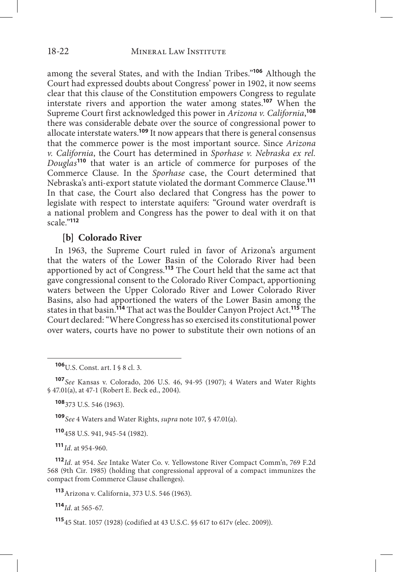among the several States, and with the Indian Tribes."**<sup>106</sup>** Although the Court had expressed doubts about Congress' power in 1902, it now seems clear that this clause of the Constitution empowers Congress to regulate interstate rivers and apportion the water among states.**<sup>107</sup>** When the Supreme Court first acknowledged this power in *Arizona v. California*, **108** there was considerable debate over the source of congressional power to allocate interstate waters.**<sup>109</sup>** It now appears that there is general consensus that the commerce power is the most important source. Since *Arizona v. California*, the Court has determined in *Sporhase v. Nebraska ex rel. Douglas***<sup>110</sup>** that water is an article of commerce for purposes of the Commerce Clause. In the *Sporhase* case, the Court determined that Nebraska's anti-export statute violated the dormant Commerce Clause.**<sup>111</sup>** In that case, the Court also declared that Congress has the power to legislate with respect to interstate aquifers: "Ground water overdraft is a national problem and Congress has the power to deal with it on that scale."**<sup>112</sup>**

#### **[b] Colorado River**

In 1963, the Supreme Court ruled in favor of Arizona's argument that the waters of the Lower Basin of the Colorado River had been apportioned by act of Congress.**<sup>113</sup>** The Court held that the same act that gave congressional consent to the Colorado River Compact, apportioning waters between the Upper Colorado River and Lower Colorado River Basins, also had apportioned the waters of the Lower Basin among the states in that basin.**<sup>114</sup>** That act was the Boulder Canyon Project Act.**<sup>115</sup>** The Court declared: "Where Congress has so exercised its constitutional power over waters, courts have no power to substitute their own notions of an

**<sup>107</sup>***See* Kansas v. Colorado, 206 U.S. 46, 94-95 (1907); 4 Waters and Water Rights § 47.01(a), at 47-1 (Robert E. Beck ed., 2004).

**<sup>108</sup>**373 U.S. 546 (1963).

**<sup>109</sup>***See* 4 Waters and Water Rights, *supra* note 107, § 47.01(a).

**<sup>110</sup>**458 U.S. 941, 945-54 (1982).

**<sup>111</sup>***Id*. at 954-960.

**<sup>112</sup>***Id*. at 954. *See* Intake Water Co. v. Yellowstone River Compact Comm'n, 769 F.2d 568 (9th Cir. 1985) (holding that congressional approval of a compact immunizes the compact from Commerce Clause challenges).

**<sup>113</sup>**Arizona v. California, 373 U.S. 546 (1963).

**<sup>114</sup>***Id*. at 565-67.

**<sup>115</sup>**45 Stat. 1057 (1928) (codified at 43 U.S.C. §§ 617 to 617v (elec. 2009)).

**<sup>106</sup>**U.S. Const. art. I § 8 cl. 3.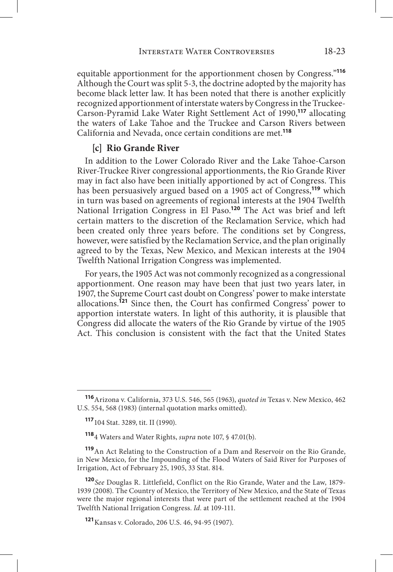equitable apportionment for the apportionment chosen by Congress."**<sup>116</sup>** Although the Court was split 5-3, the doctrine adopted by the majority has become black letter law. It has been noted that there is another explicitly recognized apportionment of interstate waters by Congress in the Truckee-Carson-Pyramid Lake Water Right Settlement Act of 1990,**<sup>117</sup>** allocating the waters of Lake Tahoe and the Truckee and Carson Rivers between California and Nevada, once certain conditions are met.**<sup>118</sup>**

# **[c] Rio Grande River**

In addition to the Lower Colorado River and the Lake Tahoe-Carson River-Truckee River congressional apportionments, the Rio Grande River may in fact also have been initially apportioned by act of Congress. This has been persuasively argued based on a 1905 act of Congress,**<sup>119</sup>** which in turn was based on agreements of regional interests at the 1904 Twelfth National Irrigation Congress in El Paso.**<sup>120</sup>** The Act was brief and left certain matters to the discretion of the Reclamation Service, which had been created only three years before. The conditions set by Congress, however, were satisfied by the Reclamation Service, and the plan originally agreed to by the Texas, New Mexico, and Mexican interests at the 1904 Twelfth National Irrigation Congress was implemented.

For years, the 1905 Act was not commonly recognized as a congressional apportionment. One reason may have been that just two years later, in 1907, the Supreme Court cast doubt on Congress' power to make interstate allocations.**<sup>121</sup>** Since then, the Court has confirmed Congress' power to apportion interstate waters. In light of this authority, it is plausible that Congress did allocate the waters of the Rio Grande by virtue of the 1905 Act. This conclusion is consistent with the fact that the United States

**<sup>116</sup>**Arizona v. California, 373 U.S. 546, 565 (1963), *quoted in* Texas v. New Mexico, 462 U.S. 554, 568 (1983) (internal quotation marks omitted).

**<sup>117</sup>**104 Stat. 3289, tit. II (1990).

**<sup>118</sup>**4 Waters and Water Rights, *supra* note 107, § 47.01(b).

**<sup>119</sup>**An Act Relating to the Construction of a Dam and Reservoir on the Rio Grande, in New Mexico, for the Impounding of the Flood Waters of Said River for Purposes of Irrigation, Act of February 25, 1905, 33 Stat. 814.

**<sup>120</sup>***See* Douglas R. Littlefield, Conflict on the Rio Grande, Water and the Law, 1879- 1939 (2008). The Country of Mexico, the Territory of New Mexico, and the State of Texas were the major regional interests that were part of the settlement reached at the 1904 Twelfth National Irrigation Congress. *Id.* at 109-111.

**<sup>121</sup>**Kansas v. Colorado, 206 U.S. 46, 94-95 (1907).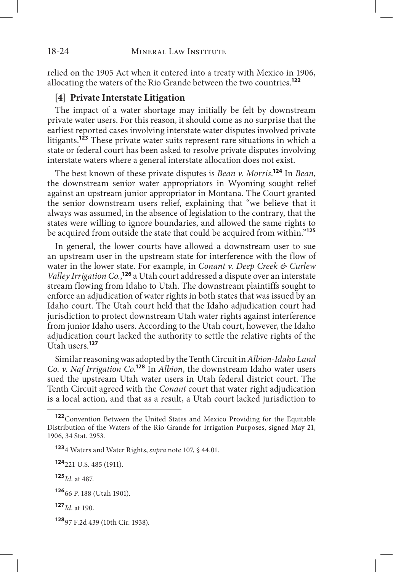#### 18-24 MINERAL LAW INSTITUTE

relied on the 1905 Act when it entered into a treaty with Mexico in 1906, allocating the waters of the Rio Grande between the two countries.**<sup>122</sup>**

## **[4] Private Interstate Litigation**

The impact of a water shortage may initially be felt by downstream private water users. For this reason, it should come as no surprise that the earliest reported cases involving interstate water disputes involved private litigants.**<sup>123</sup>** These private water suits represent rare situations in which a state or federal court has been asked to resolve private disputes involving interstate waters where a general interstate allocation does not exist.

The best known of these private disputes is *Bean v. Morris*. **<sup>124</sup>** In *Bean*, the downstream senior water appropriators in Wyoming sought relief against an upstream junior appropriator in Montana. The Court granted the senior downstream users relief, explaining that "we believe that it always was assumed, in the absence of legislation to the contrary, that the states were willing to ignore boundaries, and allowed the same rights to be acquired from outside the state that could be acquired from within."**<sup>125</sup>**

In general, the lower courts have allowed a downstream user to sue an upstream user in the upstream state for interference with the flow of water in the lower state. For example, in *Conant v. Deep Creek & Curlew Valley Irrigation Co.*, **<sup>126</sup>** a Utah court addressed a dispute over an interstate stream flowing from Idaho to Utah. The downstream plaintiffs sought to enforce an adjudication of water rights in both states that was issued by an Idaho court. The Utah court held that the Idaho adjudication court had jurisdiction to protect downstream Utah water rights against interference from junior Idaho users. According to the Utah court, however, the Idaho adjudication court lacked the authority to settle the relative rights of the Utah users.**<sup>127</sup>**

Similar reasoning was adopted by the Tenth Circuit in *Albion-Idaho Land Co. v. Naf Irrigation Co*. **<sup>128</sup>** In *Albion*, the downstream Idaho water users sued the upstream Utah water users in Utah federal district court. The Tenth Circuit agreed with the *Conant* court that water right adjudication is a local action, and that as a result, a Utah court lacked jurisdiction to

**<sup>124</sup>**221 U.S. 485 (1911).

**<sup>125</sup>***Id.* at 487.

**<sup>122</sup>**Convention Between the United States and Mexico Providing for the Equitable Distribution of the Waters of the Rio Grande for Irrigation Purposes, signed May 21, 1906, 34 Stat. 2953.

**<sup>123</sup>**4 Waters and Water Rights, *supra* note 107, § 44.01.

**<sup>126</sup>**66 P. 188 (Utah 1901).

**<sup>127</sup>***Id*. at 190.

**<sup>128</sup>**97 F.2d 439 (10th Cir. 1938).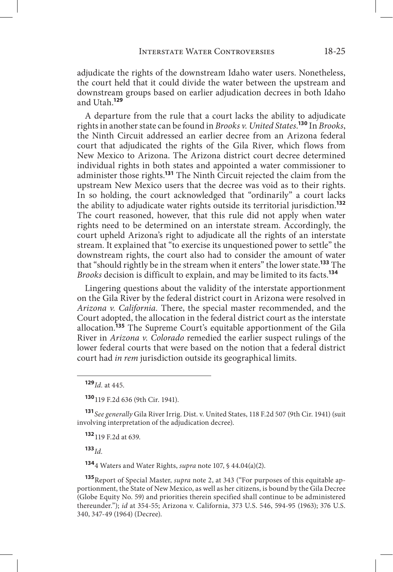adjudicate the rights of the downstream Idaho water users. Nonetheless, the court held that it could divide the water between the upstream and downstream groups based on earlier adjudication decrees in both Idaho and Utah.**<sup>129</sup>**

A departure from the rule that a court lacks the ability to adjudicate rights in another state can be found in *Brooks v. United States*. **<sup>130</sup>** In *Brooks*, the Ninth Circuit addressed an earlier decree from an Arizona federal court that adjudicated the rights of the Gila River, which flows from New Mexico to Arizona. The Arizona district court decree determined individual rights in both states and appointed a water commissioner to administer those rights.**<sup>131</sup>** The Ninth Circuit rejected the claim from the upstream New Mexico users that the decree was void as to their rights. In so holding, the court acknowledged that "ordinarily" a court lacks the ability to adjudicate water rights outside its territorial jurisdiction.**<sup>132</sup>** The court reasoned, however, that this rule did not apply when water rights need to be determined on an interstate stream. Accordingly, the court upheld Arizona's right to adjudicate all the rights of an interstate stream. It explained that "to exercise its unquestioned power to settle" the downstream rights, the court also had to consider the amount of water that "should rightly be in the stream when it enters" the lower state.**<sup>133</sup>** The *Brooks* decision is difficult to explain, and may be limited to its facts.**<sup>134</sup>**

Lingering questions about the validity of the interstate apportionment on the Gila River by the federal district court in Arizona were resolved in *Arizona v. California.* There, the special master recommended, and the Court adopted, the allocation in the federal district court as the interstate allocation.**<sup>135</sup>** The Supreme Court's equitable apportionment of the Gila River in *Arizona v. Colorado* remedied the earlier suspect rulings of the lower federal courts that were based on the notion that a federal district court had *in rem* jurisdiction outside its geographical limits.

**<sup>130</sup>**119 F.2d 636 (9th Cir. 1941).

**<sup>131</sup>***See generally* Gila River Irrig. Dist. v. United States, 118 F.2d 507 (9th Cir. 1941) (suit involving interpretation of the adjudication decree).

**<sup>132</sup>**119 F.2d at 639.

**<sup>133</sup>***Id.* 

**<sup>134</sup>**4 Waters and Water Rights, *supra* note 107, § 44.04(a)(2).

**<sup>135</sup>**Report of Special Master, *supra* note 2, at 343 ("For purposes of this equitable apportionment, the State of New Mexico, as well as her citizens, is bound by the Gila Decree (Globe Equity No. 59) and priorities therein specified shall continue to be administered thereunder."); *id* at 354-55; Arizona v. California, 373 U.S. 546, 594-95 (1963); 376 U.S. 340, 347-49 (1964) (Decree).

**<sup>129</sup>***Id.* at 445.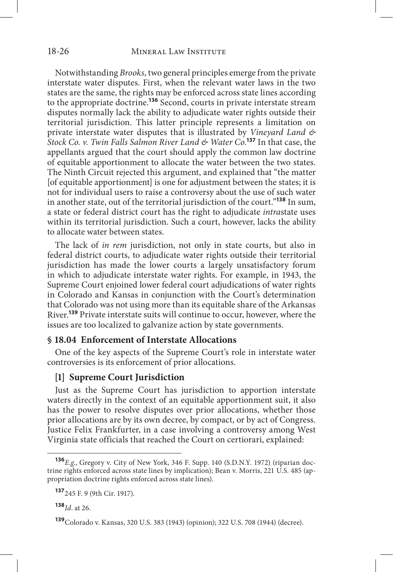Notwithstanding *Brooks*, two general principles emerge from the private interstate water disputes. First, when the relevant water laws in the two states are the same, the rights may be enforced across state lines according to the appropriate doctrine.**<sup>136</sup>** Second, courts in private interstate stream disputes normally lack the ability to adjudicate water rights outside their territorial jurisdiction. This latter principle represents a limitation on private interstate water disputes that is illustrated by *Vineyard Land & Stock Co. v. Twin Falls Salmon River Land & Water Co.***<sup>137</sup>** In that case, the appellants argued that the court should apply the common law doctrine of equitable apportionment to allocate the water between the two states. The Ninth Circuit rejected this argument, and explained that "the matter [of equitable apportionment] is one for adjustment between the states; it is not for individual users to raise a controversy about the use of such water in another state, out of the territorial jurisdiction of the court."**<sup>138</sup>** In sum, a state or federal district court has the right to adjudicate *intra*state uses within its territorial jurisdiction. Such a court, however, lacks the ability to allocate water between states.

The lack of *in rem* jurisdiction, not only in state courts, but also in federal district courts, to adjudicate water rights outside their territorial jurisdiction has made the lower courts a largely unsatisfactory forum in which to adjudicate interstate water rights. For example, in 1943, the Supreme Court enjoined lower federal court adjudications of water rights in Colorado and Kansas in conjunction with the Court's determination that Colorado was not using more than its equitable share of the Arkansas River.**<sup>139</sup>** Private interstate suits will continue to occur, however, where the issues are too localized to galvanize action by state governments.

#### **§ 18.04 Enforcement of Interstate Allocations**

One of the key aspects of the Supreme Court's role in interstate water controversies is its enforcement of prior allocations.

#### **[1] Supreme Court Jurisdiction**

Just as the Supreme Court has jurisdiction to apportion interstate waters directly in the context of an equitable apportionment suit, it also has the power to resolve disputes over prior allocations, whether those prior allocations are by its own decree, by compact, or by act of Congress. Justice Felix Frankfurter, in a case involving a controversy among West Virginia state officials that reached the Court on certiorari, explained:

**<sup>138</sup>***Id*. at 26.

**<sup>136</sup>***E.g*., Gregory v. City of New York, 346 F. Supp. 140 (S.D.N.Y. 1972) (riparian doctrine rights enforced across state lines by implication); Bean v. Morris, 221 U.S. 485 (appropriation doctrine rights enforced across state lines).

**<sup>137</sup>**245 F. 9 (9th Cir. 1917).

**<sup>139</sup>**Colorado v. Kansas, 320 U.S. 383 (1943) (opinion); 322 U.S. 708 (1944) (decree).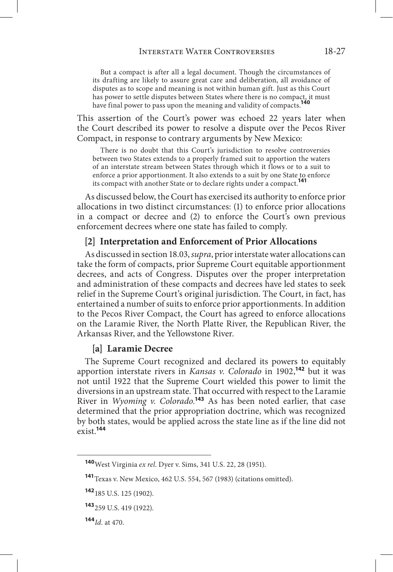But a compact is after all a legal document. Though the circumstances of its drafting are likely to assure great care and deliberation, all avoidance of disputes as to scope and meaning is not within human gift. Just as this Court has power to settle disputes between States where there is no compact, it must have final power to pass upon the meaning and validity of compacts.**<sup>140</sup>**

This assertion of the Court's power was echoed 22 years later when the Court described its power to resolve a dispute over the Pecos River Compact, in response to contrary arguments by New Mexico:

There is no doubt that this Court's jurisdiction to resolve controversies between two States extends to a properly framed suit to apportion the waters of an interstate stream between States through which it flows or to a suit to enforce a prior apportionment. It also extends to a suit by one State to enforce its compact with another State or to declare rights under a compact.**<sup>141</sup>**

As discussed below, the Court has exercised its authority to enforce prior allocations in two distinct circumstances: (1) to enforce prior allocations in a compact or decree and (2) to enforce the Court's own previous enforcement decrees where one state has failed to comply.

## **[2] Interpretation and Enforcement of Prior Allocations**

As discussed in section 18.03, *supra*, prior interstate water allocations can take the form of compacts, prior Supreme Court equitable apportionment decrees, and acts of Congress. Disputes over the proper interpretation and administration of these compacts and decrees have led states to seek relief in the Supreme Court's original jurisdiction. The Court, in fact, has entertained a number of suits to enforce prior apportionments. In addition to the Pecos River Compact, the Court has agreed to enforce allocations on the Laramie River, the North Platte River, the Republican River, the Arkansas River, and the Yellowstone River.

#### **[a] Laramie Decree**

The Supreme Court recognized and declared its powers to equitably apportion interstate rivers in *Kansas v. Colorado* in 1902,**<sup>142</sup>** but it was not until 1922 that the Supreme Court wielded this power to limit the diversions in an upstream state. That occurred with respect to the Laramie River in *Wyoming v. Colorado.***<sup>143</sup>** As has been noted earlier, that case determined that the prior appropriation doctrine, which was recognized by both states, would be applied across the state line as if the line did not exist.**<sup>144</sup>**

**<sup>140</sup>**West Virginia *ex rel*. Dyer v. Sims, 341 U.S. 22, 28 (1951).

**<sup>141</sup>**Texas v. New Mexico, 462 U.S. 554, 567 (1983) (citations omitted).

**<sup>142</sup>**185 U.S. 125 (1902).

**<sup>143</sup>**259 U.S. 419 (1922).

**<sup>144</sup>***Id.* at 470.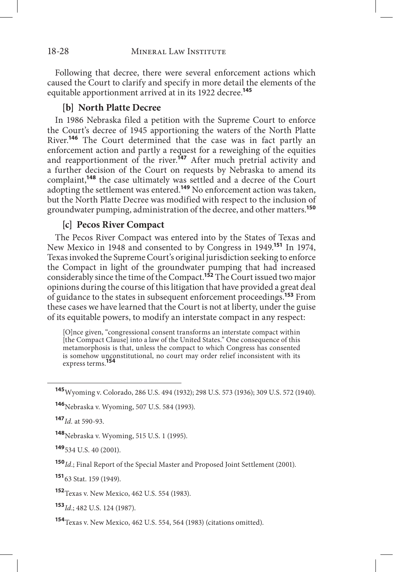Following that decree, there were several enforcement actions which caused the Court to clarify and specify in more detail the elements of the equitable apportionment arrived at in its 1922 decree.**<sup>145</sup>**

## **[b] North Platte Decree**

In 1986 Nebraska filed a petition with the Supreme Court to enforce the Court's decree of 1945 apportioning the waters of the North Platte River.**<sup>146</sup>** The Court determined that the case was in fact partly an enforcement action and partly a request for a reweighing of the equities and reapportionment of the river.<sup>147</sup> After much pretrial activity and a further decision of the Court on requests by Nebraska to amend its complaint,**<sup>148</sup>** the case ultimately was settled and a decree of the Court adopting the settlement was entered.**<sup>149</sup>** No enforcement action was taken, but the North Platte Decree was modified with respect to the inclusion of groundwater pumping, administration of the decree, and other matters.**<sup>150</sup>**

## **[c] Pecos River Compact**

The Pecos River Compact was entered into by the States of Texas and New Mexico in 1948 and consented to by Congress in 1949.**<sup>151</sup>** In 1974, Texas invoked the Supreme Court's original jurisdiction seeking to enforce the Compact in light of the groundwater pumping that had increased considerably since the time of the Compact.**<sup>152</sup>** The Court issued two major opinions during the course of this litigation that have provided a great deal of guidance to the states in subsequent enforcement proceedings.**<sup>153</sup>** From these cases we have learned that the Court is not at liberty, under the guise of its equitable powers, to modify an interstate compact in any respect:

[O]nce given, "congressional consent transforms an interstate compact within [the Compact Clause] into a law of the United States." One consequence of this metamorphosis is that, unless the compact to which Congress has consented is somehow unconstitutional, no court may order relief inconsistent with its express terms.<sup>1</sup>

**<sup>147</sup>***Id.* at 590-93.

**<sup>148</sup>**Nebraska v. Wyoming, 515 U.S. 1 (1995).

**<sup>149</sup>**534 U.S. 40 (2001).

**<sup>150</sup>***Id*.; Final Report of the Special Master and Proposed Joint Settlement (2001).

**<sup>151</sup>**63 Stat. 159 (1949).

**<sup>152</sup>**Texas v. New Mexico, 462 U.S. 554 (1983).

**<sup>153</sup>***Id*.; 482 U.S. 124 (1987).

**<sup>154</sup>**Texas v. New Mexico, 462 U.S. 554, 564 (1983) (citations omitted).

**<sup>145</sup>**Wyoming v. Colorado, 286 U.S. 494 (1932); 298 U.S. 573 (1936); 309 U.S. 572 (1940).

**<sup>146</sup>**Nebraska v. Wyoming, 507 U.S. 584 (1993).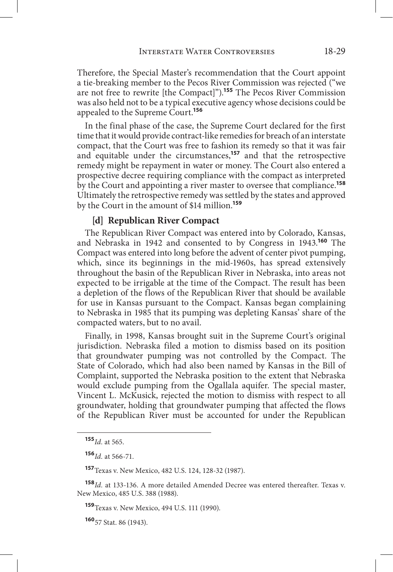Therefore, the Special Master's recommendation that the Court appoint a tie-breaking member to the Pecos River Commission was rejected ("we are not free to rewrite [the Compact]").**<sup>155</sup>** The Pecos River Commission was also held not to be a typical executive agency whose decisions could be appealed to the Supreme Court.**<sup>156</sup>**

In the final phase of the case, the Supreme Court declared for the first time that it would provide contract-like remedies for breach of an interstate compact, that the Court was free to fashion its remedy so that it was fair and equitable under the circumstances,**<sup>157</sup>** and that the retrospective remedy might be repayment in water or money. The Court also entered a prospective decree requiring compliance with the compact as interpreted by the Court and appointing a river master to oversee that compliance.**<sup>158</sup>** Ultimately the retrospective remedy was settled by the states and approved by the Court in the amount of \$14 million.**<sup>159</sup>**

## **[d] Republican River Compact**

The Republican River Compact was entered into by Colorado, Kansas, and Nebraska in 1942 and consented to by Congress in 1943.**<sup>160</sup>** The Compact was entered into long before the advent of center pivot pumping, which, since its beginnings in the mid-1960s, has spread extensively throughout the basin of the Republican River in Nebraska, into areas not expected to be irrigable at the time of the Compact. The result has been a depletion of the flows of the Republican River that should be available for use in Kansas pursuant to the Compact. Kansas began complaining to Nebraska in 1985 that its pumping was depleting Kansas' share of the compacted waters, but to no avail.

Finally, in 1998, Kansas brought suit in the Supreme Court's original jurisdiction. Nebraska filed a motion to dismiss based on its position that groundwater pumping was not controlled by the Compact. The State of Colorado, which had also been named by Kansas in the Bill of Complaint, supported the Nebraska position to the extent that Nebraska would exclude pumping from the Ogallala aquifer. The special master, Vincent L. McKusick, rejected the motion to dismiss with respect to all groundwater, holding that groundwater pumping that affected the flows of the Republican River must be accounted for under the Republican

**<sup>157</sup>**Texas v. New Mexico, 482 U.S. 124, 128-32 (1987).

**<sup>159</sup>**Texas v. New Mexico, 494 U.S. 111 (1990).

**<sup>160</sup>**57 Stat. 86 (1943).

**<sup>155</sup>***Id.* at 565.

**<sup>156</sup>***Id.* at 566-71.

**<sup>158</sup>***Id.* at 133-136. A more detailed Amended Decree was entered thereafter. Texas v. New Mexico, 485 U.S. 388 (1988).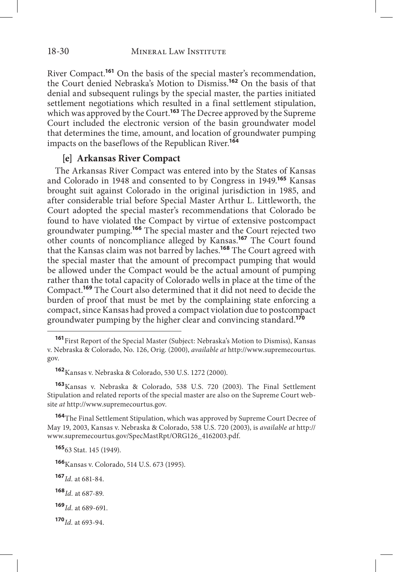River Compact.**<sup>161</sup>** On the basis of the special master's recommendation, the Court denied Nebraska's Motion to Dismiss.**<sup>162</sup>** On the basis of that denial and subsequent rulings by the special master, the parties initiated settlement negotiations which resulted in a final settlement stipulation, which was approved by the Court.**<sup>163</sup>** The Decree approved by the Supreme Court included the electronic version of the basin groundwater model that determines the time, amount, and location of groundwater pumping impacts on the baseflows of the Republican River.**<sup>164</sup>**

## **[e] Arkansas River Compact**

The Arkansas River Compact was entered into by the States of Kansas and Colorado in 1948 and consented to by Congress in 1949.**<sup>165</sup>** Kansas brought suit against Colorado in the original jurisdiction in 1985, and after considerable trial before Special Master Arthur L. Littleworth, the Court adopted the special master's recommendations that Colorado be found to have violated the Compact by virtue of extensive postcompact groundwater pumping.**<sup>166</sup>** The special master and the Court rejected two other counts of noncompliance alleged by Kansas.**<sup>167</sup>** The Court found that the Kansas claim was not barred by laches.**<sup>168</sup>** The Court agreed with the special master that the amount of precompact pumping that would be allowed under the Compact would be the actual amount of pumping rather than the total capacity of Colorado wells in place at the time of the Compact.**<sup>169</sup>** The Court also determined that it did not need to decide the burden of proof that must be met by the complaining state enforcing a compact, since Kansas had proved a compact violation due to postcompact groundwater pumping by the higher clear and convincing standard.**<sup>170</sup>**

**<sup>163</sup>**Kansas v. Nebraska & Colorado, 538 U.S. 720 (2003). The Final Settlement Stipulation and related reports of the special master are also on the Supreme Court website *at* http://www.supremecourtus.gov.

**<sup>164</sup>**The Final Settlement Stipulation, which was approved by Supreme Court Decree of May 19, 2003, Kansas v. Nebraska & Colorado, 538 U.S. 720 (2003), is *available at* http:// www.supremecourtus.gov/SpecMastRpt/ORG126\_4162003.pdf.

**<sup>165</sup>**63 Stat. 145 (1949).

**<sup>166</sup>**Kansas v. Colorado, 514 U.S. 673 (1995).

**<sup>167</sup>***Id.* at 681-84.

**<sup>168</sup>***Id.* at 687-89.

**<sup>169</sup>***Id.* at 689-691.

**<sup>170</sup>***Id.* at 693-94.

**<sup>161</sup>**First Report of the Special Master (Subject: Nebraska's Motion to Dismiss), Kansas v. Nebraska & Colorado, No. 126, Orig. (2000), *available at* http://www.supremecourtus. gov.

**<sup>162</sup>**Kansas v. Nebraska & Colorado, 530 U.S. 1272 (2000).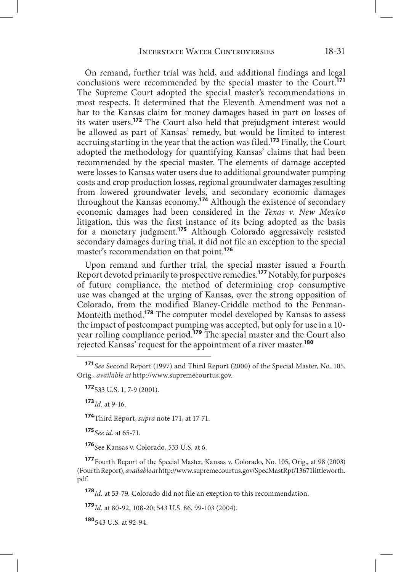On remand, further trial was held, and additional findings and legal conclusions were recommended by the special master to the Court.**<sup>171</sup>** The Supreme Court adopted the special master's recommendations in most respects. It determined that the Eleventh Amendment was not a bar to the Kansas claim for money damages based in part on losses of its water users.**<sup>172</sup>** The Court also held that prejudgment interest would be allowed as part of Kansas' remedy, but would be limited to interest accruing starting in the year that the action was filed.**<sup>173</sup>** Finally, the Court adopted the methodology for quantifying Kansas' claims that had been recommended by the special master. The elements of damage accepted were losses to Kansas water users due to additional groundwater pumping costs and crop production losses, regional groundwater damages resulting from lowered groundwater levels, and secondary economic damages throughout the Kansas economy.**<sup>174</sup>** Although the existence of secondary economic damages had been considered in the *Texas v. New Mexico* litigation, this was the first instance of its being adopted as the basis for a monetary judgment.**<sup>175</sup>** Although Colorado aggressively resisted secondary damages during trial, it did not file an exception to the special master's recommendation on that point.**<sup>176</sup>**

Upon remand and further trial, the special master issued a Fourth Report devoted primarily to prospective remedies.**<sup>177</sup>** Notably, for purposes of future compliance, the method of determining crop consumptive use was changed at the urging of Kansas, over the strong opposition of Colorado, from the modified Blaney-Criddle method to the Penman-Monteith method.**<sup>178</sup>** The computer model developed by Kansas to assess the impact of postcompact pumping was accepted, but only for use in a 10 year rolling compliance period.**<sup>179</sup>** The special master and the Court also rejected Kansas' request for the appointment of a river master.**<sup>180</sup>**

**<sup>173</sup>***Id*. at 9-16.

**<sup>174</sup>**Third Report, *supra* note 171, at 17-71.

**<sup>175</sup>***See id*. at 65-71.

**<sup>176</sup>**See Kansas v. Colorado, 533 U.S. at 6.

**<sup>177</sup>**Fourth Report of the Special Master, Kansas v. Colorado, No. 105, Orig., at 98 (2003) (Fourth Report), *available at* http://www.supremecourtus.gov/SpecMastRpt/13671littleworth. pdf.

**<sup>178</sup>***Id.* at 53-79. Colorado did not file an exeption to this recommendation.

**<sup>179</sup>***Id.* at 80-92, 108-20; 543 U.S. 86, 99-103 (2004).

**<sup>180</sup>**543 U.S. at 92-94.

**<sup>171</sup>***See* Second Report (1997) and Third Report (2000) of the Special Master, No. 105, Orig., *available at* http://www.supremecourtus.gov.

**<sup>172</sup>**533 U.S. 1, 7-9 (2001).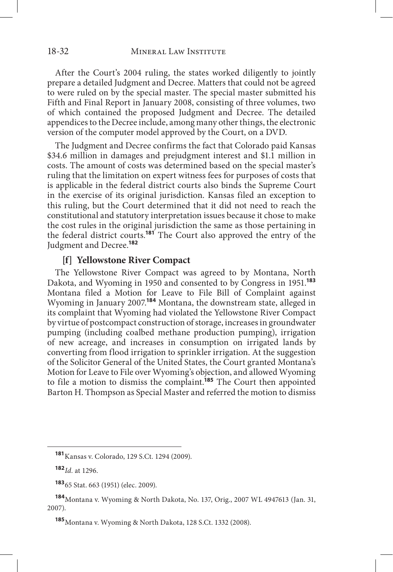After the Court's 2004 ruling, the states worked diligently to jointly prepare a detailed Judgment and Decree. Matters that could not be agreed to were ruled on by the special master. The special master submitted his Fifth and Final Report in January 2008, consisting of three volumes, two of which contained the proposed Judgment and Decree. The detailed appendices to the Decree include, among many other things, the electronic version of the computer model approved by the Court, on a DVD.

The Judgment and Decree confirms the fact that Colorado paid Kansas \$34.6 million in damages and prejudgment interest and \$1.1 million in costs. The amount of costs was determined based on the special master's ruling that the limitation on expert witness fees for purposes of costs that is applicable in the federal district courts also binds the Supreme Court in the exercise of its original jurisdiction. Kansas filed an exception to this ruling, but the Court determined that it did not need to reach the constitutional and statutory interpretation issues because it chose to make the cost rules in the original jurisdiction the same as those pertaining in the federal district courts.**<sup>181</sup>** The Court also approved the entry of the Judgment and Decree.**<sup>182</sup>**

#### **[f] Yellowstone River Compact**

The Yellowstone River Compact was agreed to by Montana, North Dakota, and Wyoming in 1950 and consented to by Congress in 1951.**<sup>183</sup>** Montana filed a Motion for Leave to File Bill of Complaint against Wyoming in January 2007.**<sup>184</sup>** Montana, the downstream state, alleged in its complaint that Wyoming had violated the Yellowstone River Compact by virtue of postcompact construction of storage, increases in groundwater pumping (including coalbed methane production pumping), irrigation of new acreage, and increases in consumption on irrigated lands by converting from flood irrigation to sprinkler irrigation. At the suggestion of the Solicitor General of the United States, the Court granted Montana's Motion for Leave to File over Wyoming's objection, and allowed Wyoming to file a motion to dismiss the complaint.**<sup>185</sup>** The Court then appointed Barton H. Thompson as Special Master and referred the motion to dismiss

**<sup>181</sup>**Kansas v. Colorado, 129 S.Ct. 1294 (2009).

**<sup>182</sup>***Id.* at 1296.

**<sup>183</sup>**65 Stat. 663 (1951) (elec. 2009).

**<sup>184</sup>**Montana v. Wyoming & North Dakota, No. 137, Orig., 2007 WL 4947613 (Jan. 31, 2007).

**<sup>185</sup>**Montana v. Wyoming & North Dakota, 128 S.Ct. 1332 (2008).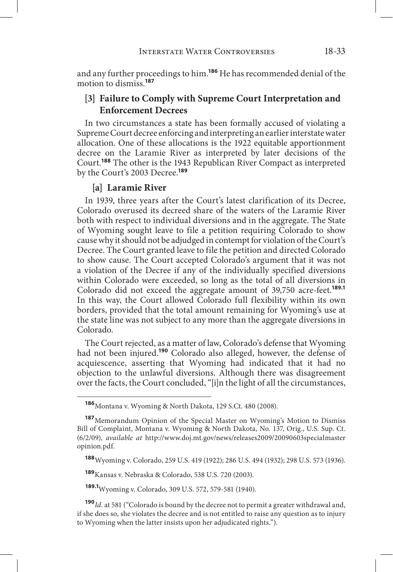and any further proceedings to him.**<sup>186</sup>** He has recommended denial of the motion to dismiss.**<sup>187</sup>**

# **[3] Failure to Comply with Supreme Court Interpretation and Enforcement Decrees**

In two circumstances a state has been formally accused of violating a Supreme Court decree enforcing and interpreting an earlier interstate water allocation. One of these allocations is the 1922 equitable apportionment decree on the Laramie River as interpreted by later decisions of the Court.**<sup>188</sup>** The other is the 1943 Republican River Compact as interpreted by the Court's 2003 Decree.**<sup>189</sup>**

#### **[a] Laramie River**

In 1939, three years after the Court's latest clarification of its Decree, Colorado overused its decreed share of the waters of the Laramie River both with respect to individual diversions and in the aggregate. The State of Wyoming sought leave to file a petition requiring Colorado to show cause why it should not be adjudged in contempt for violation of the Court's Decree. The Court granted leave to file the petition and directed Colorado to show cause. The Court accepted Colorado's argument that it was not a violation of the Decree if any of the individually specified diversions within Colorado were exceeded, so long as the total of all diversions in Colorado did not exceed the aggregate amount of 39,750 acre-feet.**189.1** In this way, the Court allowed Colorado full flexibility within its own borders, provided that the total amount remaining for Wyoming's use at the state line was not subject to any more than the aggregate diversions in Colorado.

The Court rejected, as a matter of law, Colorado's defense that Wyoming had not been injured.**<sup>190</sup>** Colorado also alleged, however, the defense of acquiescence, asserting that Wyoming had indicated that it had no objection to the unlawful diversions. Although there was disagreement over the facts, the Court concluded, "[i]n the light of all the circumstances,

**<sup>189</sup>**Kansas v. Nebraska & Colorado, 538 U.S. 720 (2003).

**189.1**Wyoming v. Colorado, 309 U.S. 572, 579-581 (1940).

**<sup>190</sup>***Id.* at 581 ("Colorado is bound by the decree not to permit a greater withdrawal and, if she does so, she violates the decree and is not entitled to raise any question as to injury to Wyoming when the latter insists upon her adjudicated rights.").

**<sup>186</sup>**Montana v. Wyoming & North Dakota, 129 S.Ct. 480 (2008).

**<sup>187</sup>**Memorandum Opinion of the Special Master on Wyoming's Motion to Dismiss Bill of Complaint, Montana v. Wyoming & North Dakota, No. 137, Orig., U.S. Sup. Ct. (6/2/09), *available at* http://www.doj.mt.gov/news/releases2009/20090603specialmaster opinion.pdf.

**<sup>188</sup>**Wyoming v. Colorado, 259 U.S. 419 (1922); 286 U.S. 494 (1932); 298 U.S. 573 (1936).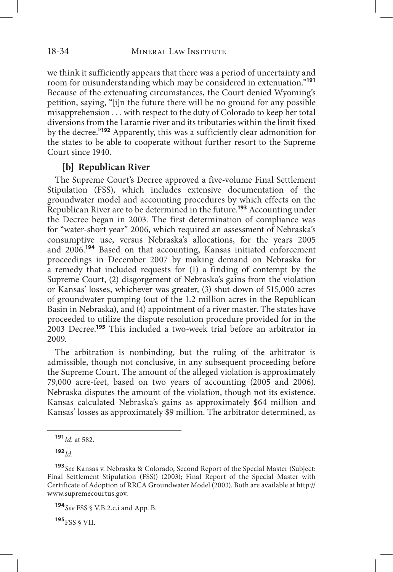we think it sufficiently appears that there was a period of uncertainty and room for misunderstanding which may be considered in extenuation."**<sup>191</sup>** Because of the extenuating circumstances, the Court denied Wyoming's petition, saying, "[i]n the future there will be no ground for any possible misapprehension . . . with respect to the duty of Colorado to keep her total diversions from the Laramie river and its tributaries within the limit fixed by the decree."**<sup>192</sup>** Apparently, this was a sufficiently clear admonition for the states to be able to cooperate without further resort to the Supreme Court since 1940.

#### **[b] Republican River**

The Supreme Court's Decree approved a five-volume Final Settlement Stipulation (FSS), which includes extensive documentation of the groundwater model and accounting procedures by which effects on the Republican River are to be determined in the future.**<sup>193</sup>** Accounting under the Decree began in 2003. The first determination of compliance was for "water-short year" 2006, which required an assessment of Nebraska's consumptive use, versus Nebraska's allocations, for the years 2005 and 2006.**<sup>194</sup>** Based on that accounting, Kansas initiated enforcement proceedings in December 2007 by making demand on Nebraska for a remedy that included requests for (1) a finding of contempt by the Supreme Court, (2) disgorgement of Nebraska's gains from the violation or Kansas' losses, whichever was greater, (3) shut-down of 515,000 acres of groundwater pumping (out of the 1.2 million acres in the Republican Basin in Nebraska), and (4) appointment of a river master. The states have proceeded to utilize the dispute resolution procedure provided for in the 2003 Decree.**<sup>195</sup>** This included a two-week trial before an arbitrator in 2009.

The arbitration is nonbinding, but the ruling of the arbitrator is admissible, though not conclusive, in any subsequent proceeding before the Supreme Court. The amount of the alleged violation is approximately 79,000 acre-feet, based on two years of accounting (2005 and 2006). Nebraska disputes the amount of the violation, though not its existence. Kansas calculated Nebraska's gains as approximately \$64 million and Kansas' losses as approximately \$9 million. The arbitrator determined, as

**<sup>192</sup>***Id.* 

**<sup>195</sup>**FSS § VII.

**<sup>191</sup>***Id.* at 582.

**<sup>193</sup>***See* Kansas v. Nebraska & Colorado, Second Report of the Special Master (Subject: Final Settlement Stipulation (FSS)) (2003); Final Report of the Special Master with Certificate of Adoption of RRCA Groundwater Model (2003). Both are available at http:// www.supremecourtus.gov.

**<sup>194</sup>***See* FSS § V.B.2.e.i and App. B.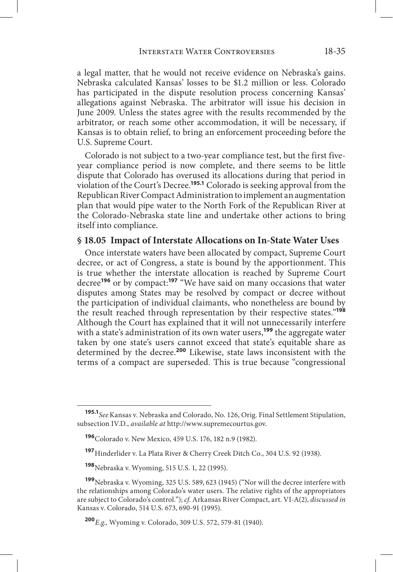a legal matter, that he would not receive evidence on Nebraska's gains. Nebraska calculated Kansas' losses to be \$1.2 million or less. Colorado has participated in the dispute resolution process concerning Kansas' allegations against Nebraska. The arbitrator will issue his decision in June 2009. Unless the states agree with the results recommended by the arbitrator, or reach some other accommodation, it will be necessary, if Kansas is to obtain relief, to bring an enforcement proceeding before the U.S. Supreme Court.

Colorado is not subject to a two-year compliance test, but the first fiveyear compliance period is now complete, and there seems to be little dispute that Colorado has overused its allocations during that period in violation of the Court's Decree.**195.1** Colorado is seeking approval from the Republican River Compact Administration to implement an augmentation plan that would pipe water to the North Fork of the Republican River at the Colorado-Nebraska state line and undertake other actions to bring itself into compliance.

#### **§ 18.05 Impact of Interstate Allocations on In-State Water Uses**

Once interstate waters have been allocated by compact, Supreme Court decree, or act of Congress, a state is bound by the apportionment. This is true whether the interstate allocation is reached by Supreme Court decree**<sup>196</sup>** or by compact:**<sup>197</sup>** "We have said on many occasions that water disputes among States may be resolved by compact or decree without the participation of individual claimants, who nonetheless are bound by the result reached through representation by their respective states."**<sup>198</sup>** Although the Court has explained that it will not unnecessarily interfere with a state's administration of its own water users,**<sup>199</sup>** the aggregate water taken by one state's users cannot exceed that state's equitable share as determined by the decree.**<sup>200</sup>** Likewise, state laws inconsistent with the terms of a compact are superseded. This is true because "congressional

**<sup>195.1</sup>***See*Kansas v. Nebraska and Colorado, No. 126, Orig. Final Settlement Stipulation, subsection IV.D., *available at* http://www.supremecourtus.gov.

**<sup>196</sup>**Colorado v. New Mexico, 459 U.S. 176, 182 n.9 (1982).

**<sup>197</sup>**Hinderlider v. La Plata River & Cherry Creek Ditch Co., 304 U.S. 92 (1938).

**<sup>198</sup>**Nebraska v. Wyoming, 515 U.S. 1, 22 (1995).

**<sup>199</sup>**Nebraska v. Wyoming, 325 U.S. 589, 623 (1945) ("Nor will the decree interfere with the relationships among Colorado's water users. The relative rights of the appropriators are subject to Colorado's control."); *cf.* Arkansas River Compact, art. VI-A(2), *discussed in* Kansas v. Colorado, 514 U.S. 673, 690-91 (1995).

**<sup>200</sup>***E.g.,* Wyoming v. Colorado, 309 U.S. 572, 579-81 (1940).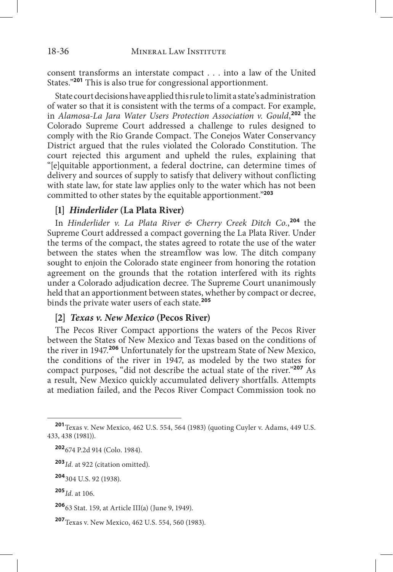consent transforms an interstate compact . . . into a law of the United States."**<sup>201</sup>** This is also true for congressional apportionment.

State court decisions have applied this rule to limit a state's administration of water so that it is consistent with the terms of a compact. For example, in *Alamosa-La Jara Water Users Protection Association v. Gould*, **<sup>202</sup>** the Colorado Supreme Court addressed a challenge to rules designed to comply with the Rio Grande Compact. The Conejos Water Conservancy District argued that the rules violated the Colorado Constitution. The court rejected this argument and upheld the rules, explaining that "[e]quitable apportionment, a federal doctrine, can determine times of delivery and sources of supply to satisfy that delivery without conflicting with state law, for state law applies only to the water which has not been committed to other states by the equitable apportionment."**<sup>203</sup>**

#### **[1]** *Hinderlider* **(La Plata River)**

In *Hinderlider v. La Plata River & Cherry Creek Ditch Co.*, **<sup>204</sup>** the Supreme Court addressed a compact governing the La Plata River. Under the terms of the compact, the states agreed to rotate the use of the water between the states when the streamflow was low. The ditch company sought to enjoin the Colorado state engineer from honoring the rotation agreement on the grounds that the rotation interfered with its rights under a Colorado adjudication decree. The Supreme Court unanimously held that an apportionment between states, whether by compact or decree, binds the private water users of each state.**<sup>205</sup>**

## **[2]** *Texas v. New Mexico* **(Pecos River)**

The Pecos River Compact apportions the waters of the Pecos River between the States of New Mexico and Texas based on the conditions of the river in 1947.**<sup>206</sup>** Unfortunately for the upstream State of New Mexico, the conditions of the river in 1947, as modeled by the two states for compact purposes, "did not describe the actual state of the river."**<sup>207</sup>** As a result, New Mexico quickly accumulated delivery shortfalls. Attempts at mediation failed, and the Pecos River Compact Commission took no

**<sup>201</sup>**Texas v. New Mexico, 462 U.S. 554, 564 (1983) (quoting Cuyler v. Adams, 449 U.S. 433, 438 (1981)).

**<sup>202</sup>**674 P.2d 914 (Colo. 1984).

**<sup>203</sup>***Id.* at 922 (citation omitted).

**<sup>204</sup>**304 U.S. 92 (1938).

**<sup>205</sup>***Id.* at 106.

**<sup>206</sup>**63 Stat. 159, at Article III(a) (June 9, 1949).

**<sup>207</sup>**Texas v. New Mexico, 462 U.S. 554, 560 (1983).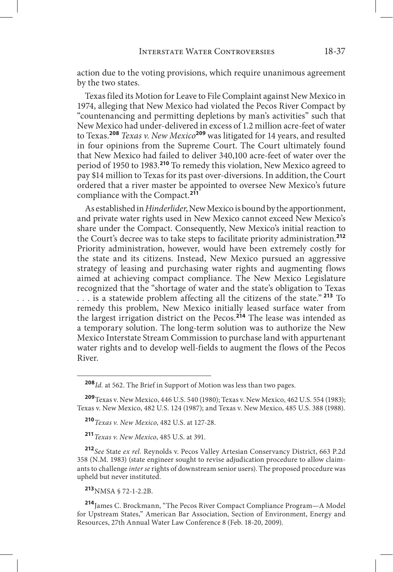action due to the voting provisions, which require unanimous agreement by the two states.

Texas filed its Motion for Leave to File Complaint against New Mexico in 1974, alleging that New Mexico had violated the Pecos River Compact by "countenancing and permitting depletions by man's activities" such that New Mexico had under-delivered in excess of 1.2 million acre-feet of water to Texas.**<sup>208</sup>** *Texas v. New Mexico***<sup>209</sup>** was litigated for 14 years, and resulted in four opinions from the Supreme Court. The Court ultimately found that New Mexico had failed to deliver 340,100 acre-feet of water over the period of 1950 to 1983.**<sup>210</sup>** To remedy this violation, New Mexico agreed to pay \$14 million to Texas for its past over-diversions. In addition, the Court ordered that a river master be appointed to oversee New Mexico's future compliance with the Compact.**<sup>211</sup>**

As established in *Hinderlider*, New Mexico is bound by the apportionment, and private water rights used in New Mexico cannot exceed New Mexico's share under the Compact. Consequently, New Mexico's initial reaction to the Court's decree was to take steps to facilitate priority administration.**<sup>212</sup>** Priority administration, however, would have been extremely costly for the state and its citizens. Instead, New Mexico pursued an aggressive strategy of leasing and purchasing water rights and augmenting flows aimed at achieving compact compliance. The New Mexico Legislature recognized that the "shortage of water and the state's obligation to Texas . . . is a statewide problem affecting all the citizens of the state."**<sup>213</sup>** To remedy this problem, New Mexico initially leased surface water from the largest irrigation district on the Pecos.**<sup>214</sup>** The lease was intended as a temporary solution. The long-term solution was to authorize the New Mexico Interstate Stream Commission to purchase land with appurtenant water rights and to develop well-fields to augment the flows of the Pecos River.

**<sup>209</sup>**Texas v. New Mexico, 446 U.S. 540 (1980); Texas v. New Mexico, 462 U.S. 554 (1983); Texas v. New Mexico, 482 U.S. 124 (1987); and Texas v. New Mexico, 485 U.S. 388 (1988).

**<sup>211</sup>***Texas v. New Mexico*, 485 U.S. at 391.

**<sup>212</sup>***See* State *ex rel.* Reynolds v. Pecos Valley Artesian Conservancy District, 663 P.2d 358 (N.M. 1983) (state engineer sought to revise adjudication procedure to allow claimants to challenge *inter se* rights of downstream senior users). The proposed procedure was upheld but never instituted.

**<sup>213</sup>**NMSA § 72-1-2.2B.

**<sup>214</sup>**James C. Brockmann, "The Pecos River Compact Compliance Program—A Model for Upstream States," American Bar Association, Section of Environment, Energy and Resources, 27th Annual Water Law Conference 8 (Feb. 18-20, 2009).

**<sup>208</sup>***Id.* at 562. The Brief in Support of Motion was less than two pages.

**<sup>210</sup>***Texas v. New Mexico*, 482 U.S. at 127-28.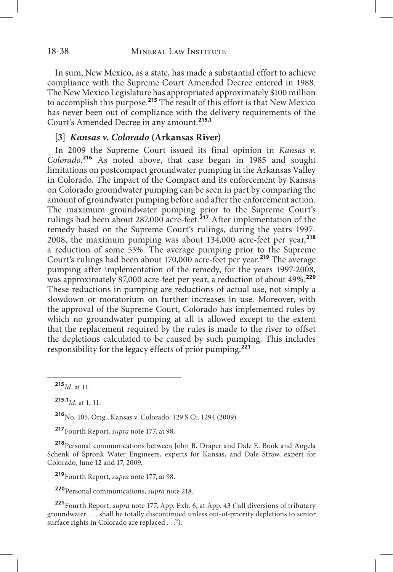In sum, New Mexico, as a state, has made a substantial effort to achieve compliance with the Supreme Court Amended Decree entered in 1988. The New Mexico Legislature has appropriated approximately \$100 million to accomplish this purpose.**<sup>215</sup>** The result of this effort is that New Mexico has never been out of compliance with the delivery requirements of the Court's Amended Decree in any amount.**215.1**

# **[3]** *Kansas v. Colorado* **(Arkansas River)**

In 2009 the Supreme Court issued its final opinion in *Kansas v. Colorado*. **<sup>216</sup>** As noted above, that case began in 1985 and sought limitations on postcompact groundwater pumping in the Arkansas Valley in Colorado. The impact of the Compact and its enforcement by Kansas on Colorado groundwater pumping can be seen in part by comparing the amount of groundwater pumping before and after the enforcement action. The maximum groundwater pumping prior to the Supreme Court's rulings had been about 287,000 acre-feet.**<sup>217</sup>** After implementation of the remedy based on the Supreme Court's rulings, during the years 1997- 2008, the maximum pumping was about 134,000 acre-feet per year,**<sup>218</sup>** a reduction of some 53%. The average pumping prior to the Supreme Court's rulings had been about 170,000 acre-feet per year.**<sup>219</sup>** The average pumping after implementation of the remedy, for the years 1997-2008, was approximately 87,000 acre-feet per year, a reduction of about 49%.**<sup>220</sup>** These reductions in pumping are reductions of actual use, not simply a slowdown or moratorium on further increases in use. Moreover, with the approval of the Supreme Court, Colorado has implemented rules by which no groundwater pumping at all is allowed except to the extent that the replacement required by the rules is made to the river to offset the depletions calculated to be caused by such pumping. This includes responsibility for the legacy effects of prior pumping.**<sup>221</sup>**

**<sup>216</sup>**No. 105, Orig., Kansas v. Colorado, 129 S.Ct. 1294 (2009).

**<sup>217</sup>**Fourth Report, *supra* note 177, at 98.

**<sup>218</sup>**Personal communications between John B. Draper and Dale E. Book and Angela Schenk of Spronk Water Engineers, experts for Kansas, and Dale Straw, expert for Colorado, June 12 and 17, 2009.

**<sup>219</sup>**Fourth Report, *supra* note 177, at 98.

**<sup>220</sup>**Personal communications, *supra* note 218.

**<sup>221</sup>**Fourth Report, *supra* note 177, App. Exh. 6, at App. 43 ("all diversions of tributary groundwater . . . shall be totally discontinued unless out-of-priority depletions to senior surface rights in Colorado are replaced . . .").

**<sup>215</sup>***Id.* at 11.

**<sup>215.1</sup>***Id.* at 1, 11.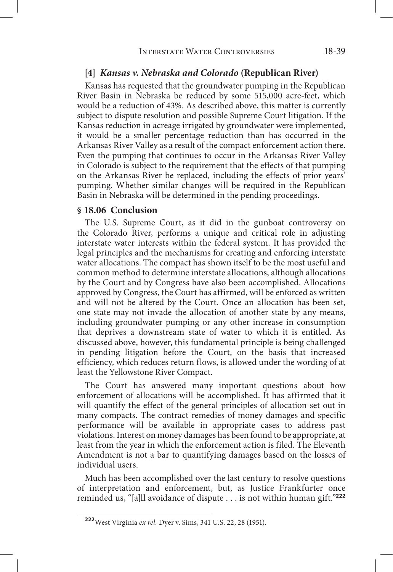#### **[4]** *Kansas v. Nebraska and Colorado* **(Republican River)**

Kansas has requested that the groundwater pumping in the Republican River Basin in Nebraska be reduced by some 515,000 acre-feet, which would be a reduction of 43%. As described above, this matter is currently subject to dispute resolution and possible Supreme Court litigation. If the Kansas reduction in acreage irrigated by groundwater were implemented, it would be a smaller percentage reduction than has occurred in the Arkansas River Valley as a result of the compact enforcement action there. Even the pumping that continues to occur in the Arkansas River Valley in Colorado is subject to the requirement that the effects of that pumping on the Arkansas River be replaced, including the effects of prior years' pumping. Whether similar changes will be required in the Republican Basin in Nebraska will be determined in the pending proceedings.

#### **§ 18.06 Conclusion**

The U.S. Supreme Court, as it did in the gunboat controversy on the Colorado River, performs a unique and critical role in adjusting interstate water interests within the federal system. It has provided the legal principles and the mechanisms for creating and enforcing interstate water allocations. The compact has shown itself to be the most useful and common method to determine interstate allocations, although allocations by the Court and by Congress have also been accomplished. Allocations approved by Congress, the Court has affirmed, will be enforced as written and will not be altered by the Court. Once an allocation has been set, one state may not invade the allocation of another state by any means, including groundwater pumping or any other increase in consumption that deprives a downstream state of water to which it is entitled. As discussed above, however, this fundamental principle is being challenged in pending litigation before the Court, on the basis that increased efficiency, which reduces return flows, is allowed under the wording of at least the Yellowstone River Compact.

The Court has answered many important questions about how enforcement of allocations will be accomplished. It has affirmed that it will quantify the effect of the general principles of allocation set out in many compacts. The contract remedies of money damages and specific performance will be available in appropriate cases to address past violations. Interest on money damages has been found to be appropriate, at least from the year in which the enforcement action is filed. The Eleventh Amendment is not a bar to quantifying damages based on the losses of individual users.

Much has been accomplished over the last century to resolve questions of interpretation and enforcement, but, as Justice Frankfurter once reminded us, "[a]ll avoidance of dispute . . . is not within human gift."**<sup>222</sup>**

**<sup>222</sup>**West Virginia *ex rel.* Dyer v. Sims, 341 U.S. 22, 28 (1951).